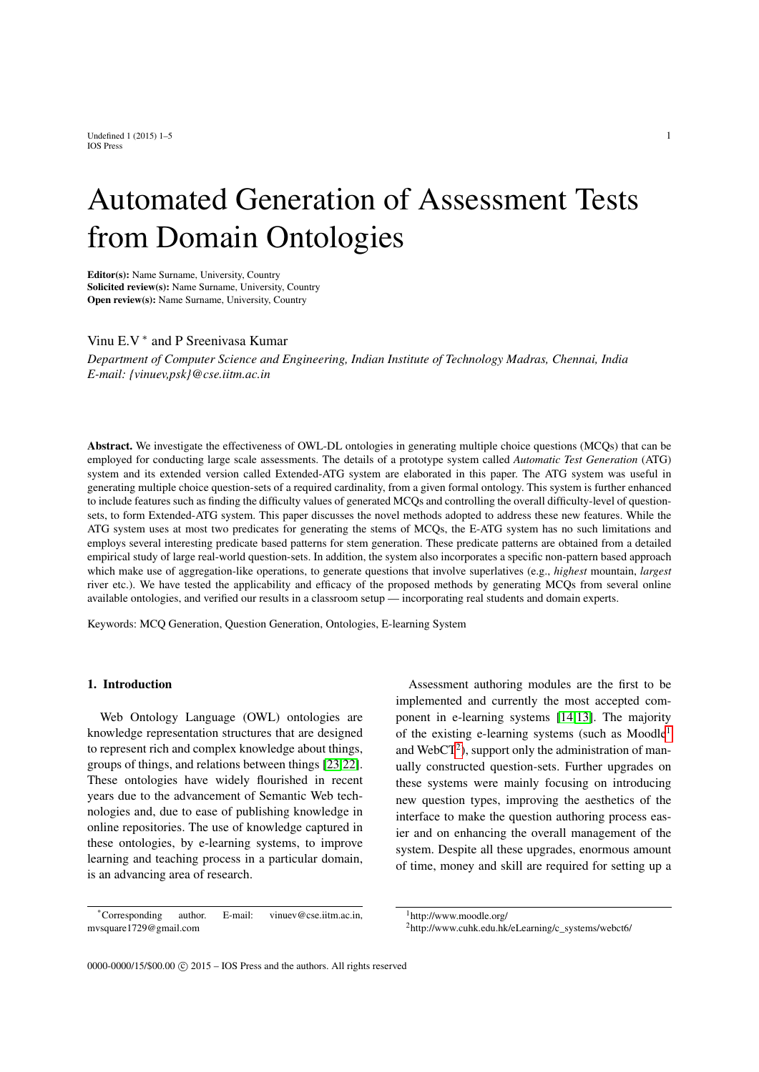Undefined 1 (2015) 1–5  $\frac{1}{2}$ IOS Press

# Automated Generation of Assessment Tests from Domain Ontologies

Editor(s): Name Surname, University, Country Solicited review(s): Name Surname, University, Country Open review(s): Name Surname, University, Country

# Vinu E.V<sup>\*</sup> and P Sreenivasa Kumar

*Department of Computer Science and Engineering, Indian Institute of Technology Madras, Chennai, India E-mail: {vinuev,psk}@cse.iitm.ac.in*

Abstract. We investigate the effectiveness of OWL-DL ontologies in generating multiple choice questions (MCQs) that can be employed for conducting large scale assessments. The details of a prototype system called *Automatic Test Generation* (ATG) system and its extended version called Extended-ATG system are elaborated in this paper. The ATG system was useful in generating multiple choice question-sets of a required cardinality, from a given formal ontology. This system is further enhanced to include features such as finding the difficulty values of generated MCQs and controlling the overall difficulty-level of questionsets, to form Extended-ATG system. This paper discusses the novel methods adopted to address these new features. While the ATG system uses at most two predicates for generating the stems of MCQs, the E-ATG system has no such limitations and employs several interesting predicate based patterns for stem generation. These predicate patterns are obtained from a detailed empirical study of large real-world question-sets. In addition, the system also incorporates a specific non-pattern based approach which make use of aggregation-like operations, to generate questions that involve superlatives (e.g., *highest* mountain, *largest* river etc.). We have tested the applicability and efficacy of the proposed methods by generating MCQs from several online available ontologies, and verified our results in a classroom setup — incorporating real students and domain experts.

Keywords: MCQ Generation, Question Generation, Ontologies, E-learning System

# 1. Introduction

Web Ontology Language (OWL) ontologies are knowledge representation structures that are designed to represent rich and complex knowledge about things, groups of things, and relations between things [\[23](#page-21-0)[,22\]](#page-21-1). These ontologies have widely flourished in recent years due to the advancement of Semantic Web technologies and, due to ease of publishing knowledge in online repositories. The use of knowledge captured in these ontologies, by e-learning systems, to improve learning and teaching process in a particular domain, is an advancing area of research.

\*Corresponding author. E-mail: vinuev@cse.iitm.ac.in, mvsquare1729@gmail.com

Assessment authoring modules are the first to be implemented and currently the most accepted component in e-learning systems [\[14,](#page-20-0)[13\]](#page-20-1). The majority of the existing e-learning systems (such as Moodle[1](#page-0-0) and WebCT<sup>[2](#page-0-1)</sup>), support only the administration of manually constructed question-sets. Further upgrades on these systems were mainly focusing on introducing new question types, improving the aesthetics of the interface to make the question authoring process easier and on enhancing the overall management of the system. Despite all these upgrades, enormous amount of time, money and skill are required for setting up a

<span id="page-0-0"></span> $1$ http://www.moodle.org/

<span id="page-0-1"></span><sup>2</sup>http://www.cuhk.edu.hk/eLearning/c\_systems/webct6/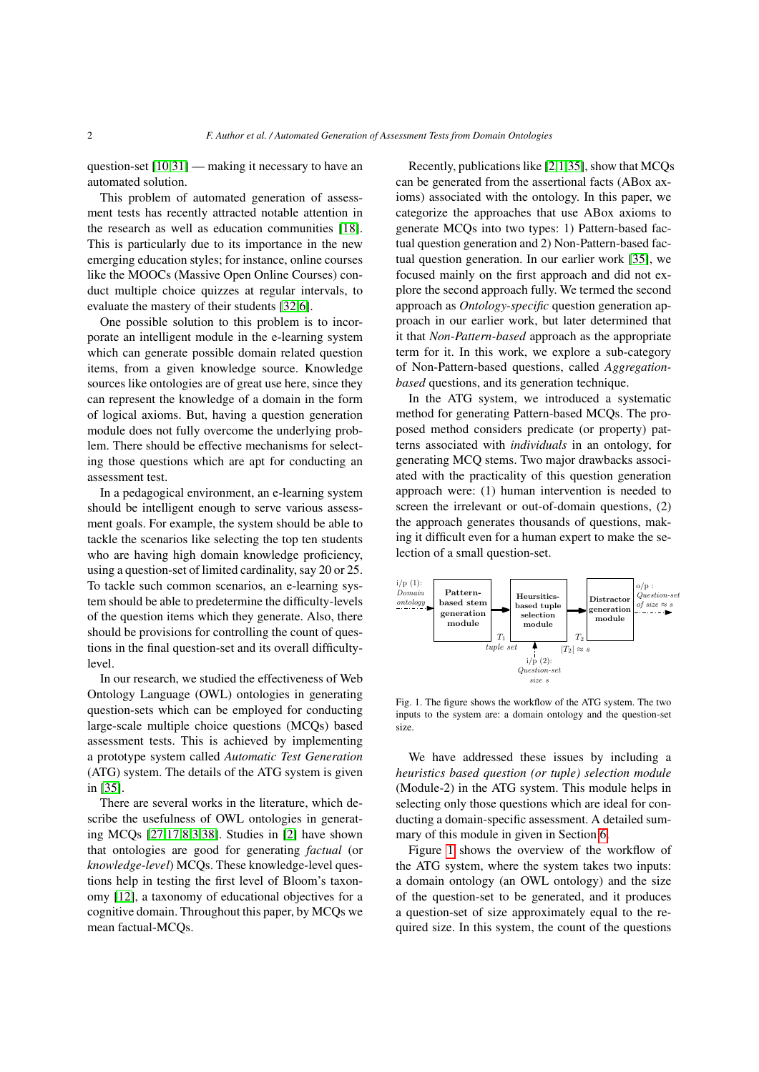question-set [\[10](#page-20-2)[,31\]](#page-21-2) — making it necessary to have an automated solution.

This problem of automated generation of assessment tests has recently attracted notable attention in the research as well as education communities [\[18\]](#page-21-3). This is particularly due to its importance in the new emerging education styles; for instance, online courses like the MOOCs (Massive Open Online Courses) conduct multiple choice quizzes at regular intervals, to evaluate the mastery of their students [\[32](#page-21-4)[,6\]](#page-20-3).

One possible solution to this problem is to incorporate an intelligent module in the e-learning system which can generate possible domain related question items, from a given knowledge source. Knowledge sources like ontologies are of great use here, since they can represent the knowledge of a domain in the form of logical axioms. But, having a question generation module does not fully overcome the underlying problem. There should be effective mechanisms for selecting those questions which are apt for conducting an assessment test.

In a pedagogical environment, an e-learning system should be intelligent enough to serve various assessment goals. For example, the system should be able to tackle the scenarios like selecting the top ten students who are having high domain knowledge proficiency, using a question-set of limited cardinality, say 20 or 25. To tackle such common scenarios, an e-learning system should be able to predetermine the difficulty-levels of the question items which they generate. Also, there should be provisions for controlling the count of questions in the final question-set and its overall difficultylevel.

In our research, we studied the effectiveness of Web Ontology Language (OWL) ontologies in generating question-sets which can be employed for conducting large-scale multiple choice questions (MCQs) based assessment tests. This is achieved by implementing a prototype system called *Automatic Test Generation* (ATG) system. The details of the ATG system is given in [\[35\]](#page-21-5).

There are several works in the literature, which describe the usefulness of OWL ontologies in generating MCQs [\[27,](#page-21-6)[17,](#page-20-4)[8,](#page-20-5)[3](#page-20-6)[,38\]](#page-21-7). Studies in [\[2\]](#page-20-7) have shown that ontologies are good for generating *factual* (or *knowledge-level*) MCQs. These knowledge-level questions help in testing the first level of Bloom's taxonomy [\[12\]](#page-20-8), a taxonomy of educational objectives for a cognitive domain. Throughout this paper, by MCQs we mean factual-MCQs.

Recently, publications like [\[2](#page-20-7)[,1,](#page-20-9)[35\]](#page-21-5), show that MCQs can be generated from the assertional facts (ABox axioms) associated with the ontology. In this paper, we categorize the approaches that use ABox axioms to generate MCQs into two types: 1) Pattern-based factual question generation and 2) Non-Pattern-based factual question generation. In our earlier work [\[35\]](#page-21-5), we focused mainly on the first approach and did not explore the second approach fully. We termed the second approach as *Ontology-specific* question generation approach in our earlier work, but later determined that it that *Non-Pattern-based* approach as the appropriate term for it. In this work, we explore a sub-category of Non-Pattern-based questions, called *Aggregationbased* questions, and its generation technique.

In the ATG system, we introduced a systematic method for generating Pattern-based MCQs. The proposed method considers predicate (or property) patterns associated with *individuals* in an ontology, for generating MCQ stems. Two major drawbacks associated with the practicality of this question generation approach were: (1) human intervention is needed to screen the irrelevant or out-of-domain questions, (2) the approach generates thousands of questions, making it difficult even for a human expert to make the selection of a small question-set.

<span id="page-1-0"></span>

Fig. 1. The figure shows the workflow of the ATG system. The two inputs to the system are: a domain ontology and the question-set size.

We have addressed these issues by including a *heuristics based question (or tuple) selection module* (Module-2) in the ATG system. This module helps in selecting only those questions which are ideal for conducting a domain-specific assessment. A detailed summary of this module in given in Section [6.](#page-9-0)

Figure [1](#page-1-0) shows the overview of the workflow of the ATG system, where the system takes two inputs: a domain ontology (an OWL ontology) and the size of the question-set to be generated, and it produces a question-set of size approximately equal to the required size. In this system, the count of the questions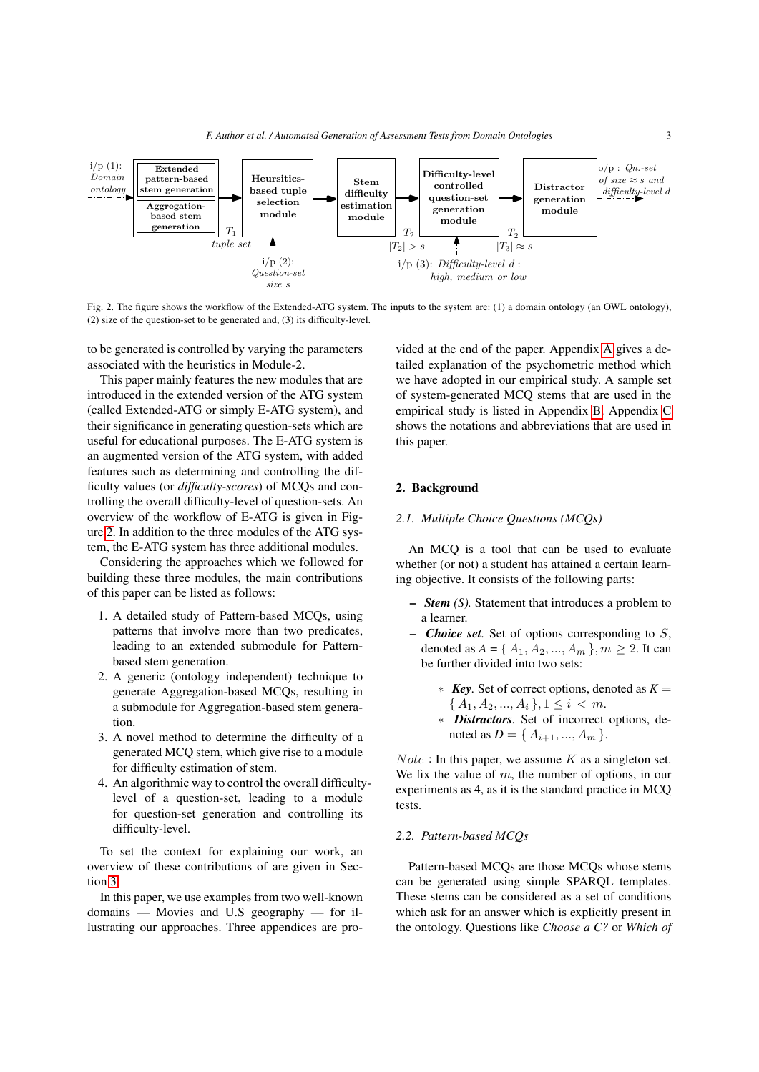<span id="page-2-0"></span>

Fig. 2. The figure shows the workflow of the Extended-ATG system. The inputs to the system are: (1) a domain ontology (an OWL ontology), (2) size of the question-set to be generated and, (3) its difficulty-level.

to be generated is controlled by varying the parameters associated with the heuristics in Module-2.

This paper mainly features the new modules that are introduced in the extended version of the ATG system (called Extended-ATG or simply E-ATG system), and their significance in generating question-sets which are useful for educational purposes. The E-ATG system is an augmented version of the ATG system, with added features such as determining and controlling the difficulty values (or *difficulty-scores*) of MCQs and controlling the overall difficulty-level of question-sets. An overview of the workflow of E-ATG is given in Figure [2.](#page-2-0) In addition to the three modules of the ATG system, the E-ATG system has three additional modules.

Considering the approaches which we followed for building these three modules, the main contributions of this paper can be listed as follows:

- 1. A detailed study of Pattern-based MCQs, using patterns that involve more than two predicates, leading to an extended submodule for Patternbased stem generation.
- 2. A generic (ontology independent) technique to generate Aggregation-based MCQs, resulting in a submodule for Aggregation-based stem generation.
- 3. A novel method to determine the difficulty of a generated MCQ stem, which give rise to a module for difficulty estimation of stem.
- 4. An algorithmic way to control the overall difficultylevel of a question-set, leading to a module for question-set generation and controlling its difficulty-level.

To set the context for explaining our work, an overview of these contributions of are given in Section [3.](#page-3-0)

In this paper, we use examples from two well-known domains — Movies and U.S geography — for illustrating our approaches. Three appendices are provided at the end of the paper. Appendix [A](#page-21-8) gives a detailed explanation of the psychometric method which we have adopted in our empirical study. A sample set of system-generated MCQ stems that are used in the empirical study is listed in Appendix [B.](#page-22-0) Appendix [C](#page-23-0) shows the notations and abbreviations that are used in this paper.

# 2. Background

# *2.1. Multiple Choice Questions (MCQs)*

An MCQ is a tool that can be used to evaluate whether (or not) a student has attained a certain learning objective. It consists of the following parts:

- *Stem (S).* Statement that introduces a problem to a learner.
- *Choice set.* Set of options corresponding to S, denoted as  $A = \{A_1, A_2, ..., A_m\}$ ,  $m \ge 2$ . It can be further divided into two sets:
	- ∗ *Key.* Set of correct options, denoted as *K* =  ${A_1, A_2, ..., A_i}, 1 \leq i \leq m.$
	- ∗ *Distractors.* Set of incorrect options, denoted as  $D = \{A_{i+1}, ..., A_m\}.$

 $Note: In this paper, we assume  $K$  as a singleton set.$ We fix the value of  $m$ , the number of options, in our experiments as 4, as it is the standard practice in MCQ tests.

# <span id="page-2-1"></span>*2.2. Pattern-based MCQs*

Pattern-based MCQs are those MCQs whose stems can be generated using simple SPARQL templates. These stems can be considered as a set of conditions which ask for an answer which is explicitly present in the ontology. Questions like *Choose a C?* or *Which of*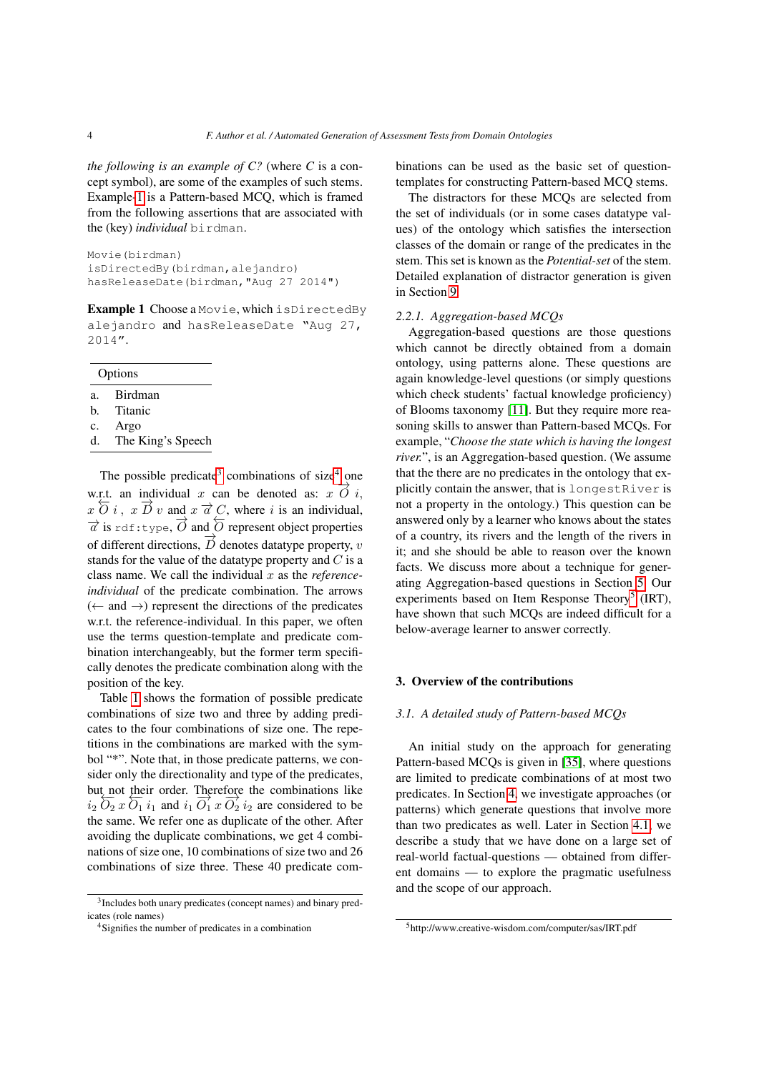*the following is an example of C?* (where *C* is a concept symbol), are some of the examples of such stems. Example[-1](#page-3-1) is a Pattern-based MCQ, which is framed from the following assertions that are associated with the (key) *individual* birdman.

```
Movie(birdman)
isDirectedBy(birdman,alejandro)
hasReleaseDate(birdman,"Aug 27 2014")
```
<span id="page-3-1"></span>Example 1 Choose a Movie, which isDirectedBy alejandro and hasReleaseDate "Aug 27, 2014".

|    | Options           |
|----|-------------------|
| a. | Birdman           |
| h. | Titanic           |
| c. | Argo              |
| d. | The King's Speech |
|    |                   |

The possible predicate<sup>[3](#page-3-2)</sup> combinations of size<sup>[4](#page-3-3)</sup> one w.r.t. an individual x can be denoted as:  $x \overrightarrow{O} i$ ,  $x \overleftarrow{O} i$ ,  $x \overrightarrow{D} v$  and  $x \overrightarrow{a} C$ , where i is an individual,  $\overrightarrow{a}$  is rdf:type,  $\overrightarrow{O}$  and  $\overleftarrow{O}$  represent object properties of different directions,  $\overrightarrow{D}$  denotes datatype property,  $v$ stands for the value of the datatype property and  $C$  is a class name. We call the individual x as the *referenceindividual* of the predicate combination. The arrows  $(\leftarrow \text{ and } \rightarrow)$  represent the directions of the predicates w.r.t. the reference-individual. In this paper, we often use the terms question-template and predicate combination interchangeably, but the former term specifically denotes the predicate combination along with the position of the key.

Table [1](#page-4-0) shows the formation of possible predicate combinations of size two and three by adding predicates to the four combinations of size one. The repetitions in the combinations are marked with the symbol "\*". Note that, in those predicate patterns, we consider only the directionality and type of the predicates, but not their order. Therefore the combinations like  $i_2 \overleftarrow{O_2} x \overleftarrow{O_1} i_1$  and  $i_1 \overrightarrow{O_1} x \overrightarrow{O_2} i_2$  are considered to be the same. We refer one as duplicate of the other. After avoiding the duplicate combinations, we get 4 combinations of size one, 10 combinations of size two and 26 combinations of size three. These 40 predicate combinations can be used as the basic set of questiontemplates for constructing Pattern-based MCQ stems.

The distractors for these MCQs are selected from the set of individuals (or in some cases datatype values) of the ontology which satisfies the intersection classes of the domain or range of the predicates in the stem. This set is known as the *Potential-set* of the stem. Detailed explanation of distractor generation is given in Section [9.](#page-13-0)

# <span id="page-3-5"></span>*2.2.1. Aggregation-based MCQs*

Aggregation-based questions are those questions which cannot be directly obtained from a domain ontology, using patterns alone. These questions are again knowledge-level questions (or simply questions which check students' factual knowledge proficiency) of Blooms taxonomy [\[11\]](#page-20-10). But they require more reasoning skills to answer than Pattern-based MCQs. For example, "*Choose the state which is having the longest river.*", is an Aggregation-based question. (We assume that the there are no predicates in the ontology that explicitly contain the answer, that is longestRiver is not a property in the ontology.) This question can be answered only by a learner who knows about the states of a country, its rivers and the length of the rivers in it; and she should be able to reason over the known facts. We discuss more about a technique for generating Aggregation-based questions in Section [5.](#page-7-0) Our experiments based on Item Response Theory<sup>[5](#page-3-4)</sup> (IRT), have shown that such MCQs are indeed difficult for a below-average learner to answer correctly.

# <span id="page-3-0"></span>3. Overview of the contributions

#### *3.1. A detailed study of Pattern-based MCQs*

An initial study on the approach for generating Pattern-based MCQs is given in [\[35\]](#page-21-5), where questions are limited to predicate combinations of at most two predicates. In Section [4,](#page-5-0) we investigate approaches (or patterns) which generate questions that involve more than two predicates as well. Later in Section [4.1,](#page-5-1) we describe a study that we have done on a large set of real-world factual-questions — obtained from different domains — to explore the pragmatic usefulness and the scope of our approach.

<span id="page-3-2"></span><sup>3</sup> Includes both unary predicates (concept names) and binary predicates (role names)

<span id="page-3-3"></span><sup>4</sup>Signifies the number of predicates in a combination

<span id="page-3-4"></span><sup>5</sup>http://www.creative-wisdom.com/computer/sas/IRT.pdf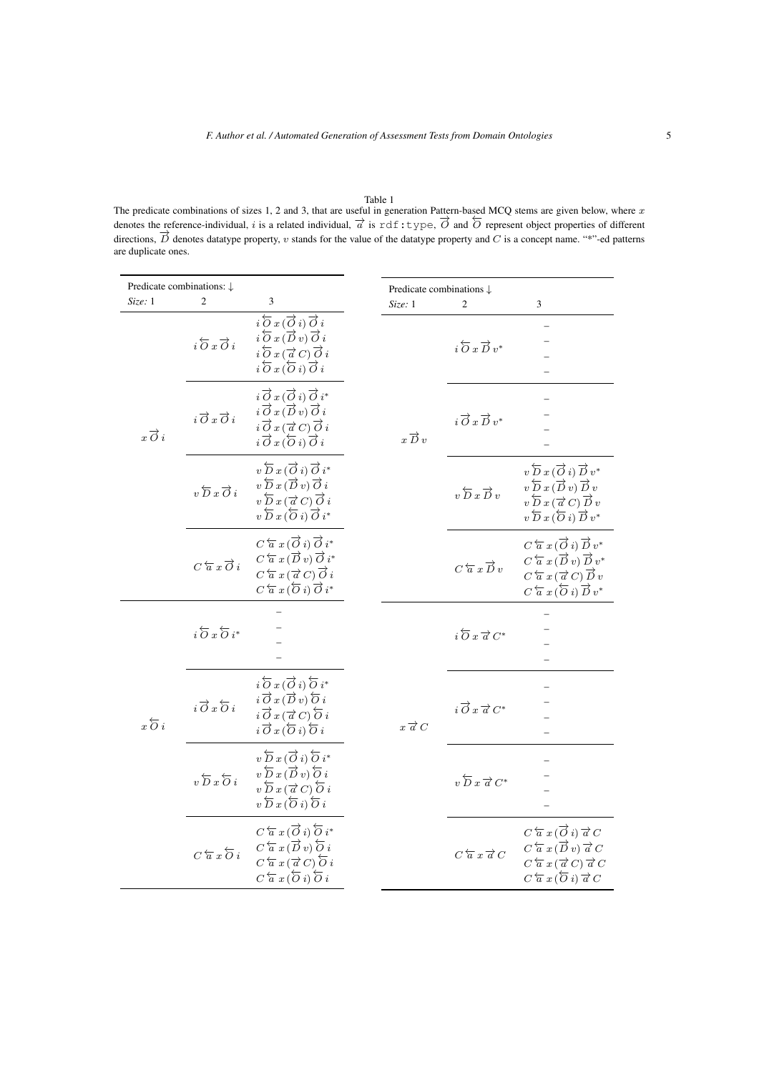<span id="page-4-0"></span>Table 1<br>The predicate combinations of sizes 1, 2 and 3, that are useful in generation Pattern-based MCQ stems are given below, where x denotes the reference-individual, i is a related individual,  $\vec{a}$  is rdf:type,  $\vec{O}$  and  $\vec{O}$  represent object properties of different directions,  $\overrightarrow{D}$  denotes datatype property, v stands for the value of the datatype property and C is a concept name. "\*"-ed patterns directions,  $\overrightarrow{D}$  denotes datatype property, v stands for the value of the dataty are duplicate ones.

| Predicate combinations: $\downarrow$ |                                               |                                                                                                                                                                                                                                                                                                              | Predicate combinations $\downarrow$ |                                                 |                                                                                                                                                                                                                                                                                   |
|--------------------------------------|-----------------------------------------------|--------------------------------------------------------------------------------------------------------------------------------------------------------------------------------------------------------------------------------------------------------------------------------------------------------------|-------------------------------------|-------------------------------------------------|-----------------------------------------------------------------------------------------------------------------------------------------------------------------------------------------------------------------------------------------------------------------------------------|
| Size: 1                              | $\overline{c}$                                | 3                                                                                                                                                                                                                                                                                                            | Size: 1                             | $\overline{c}$                                  | 3                                                                                                                                                                                                                                                                                 |
|                                      | $i\overleftrightarrow{O}x\overrightarrow{O}i$ | $i\overleftarrow{\partial} x(\overrightarrow{\partial} i)\overrightarrow{\partial} i$<br>$i\overleftarrow{O}x(\overrightarrow{D}v)\overrightarrow{O}i$<br>$i\overleftarrow{\partial} x(\overrightarrow{\alpha} C)\overrightarrow{\partial} i$<br>$i\overleftarrow{O}x\overleftarrow{O}i)\overrightarrow{O}i$ |                                     | $i\overleftarrow{O}x\overrightarrow{D}v^*$      |                                                                                                                                                                                                                                                                                   |
| $x\overrightarrow{O}i$               | $i \overrightarrow{O} x \overrightarrow{O} i$ | $i \overrightarrow{O} x (\overrightarrow{O} i) \overrightarrow{O} i^*$<br>$i \overrightarrow{O} x (\overrightarrow{D} v) \overrightarrow{O} i$<br>$i \overrightarrow{O} x (\overrightarrow{a} C) \overrightarrow{O} i$<br>$i \overrightarrow{O} x (\overleftarrow{O} i) \overrightarrow{O} i$                | $x\overrightarrow{D}v$              | $i \overrightarrow{O} x \overrightarrow{D} v^*$ |                                                                                                                                                                                                                                                                                   |
|                                      | $v\overleftrightarrow{D}x\overrightarrow{O}i$ | $v\overleftarrow{D}x(\overrightarrow{O}i)\overrightarrow{O}i^*$<br>$v\overleftarrow{D}x(\overrightarrow{D}v)\overrightarrow{O}i$<br>$v\overleftarrow{D}x(\overrightarrow{a}C)\overrightarrow{O}i$<br>$v\overleftarrow{D}x\overleftarrow{O}i)\overrightarrow{O}i^*$                                           |                                     | $v\overleftarrow{D}x\overrightarrow{D}v$        | $v\overleftarrow{D}x\overrightarrow{O}i)\overrightarrow{D}v^*$<br>$v\overleftarrow{D}x(\overrightarrow{D}v)\overrightarrow{D}v$<br>$v\overleftarrow{D}x(\overrightarrow{a}C)\overrightarrow{D}v$<br>$v\overleftarrow{D}x\overleftarrow{O}i)\overrightarrow{D}v^*$                 |
|                                      | $C\overleftarrow{a}x\overrightarrow{O}i$      | $C\overleftarrow{a} x(\overrightarrow{O} i)\overrightarrow{O} i^*$<br>$C\overleftarrow{a} x(\overrightarrow{D}v)\overrightarrow{O}i^*$<br>$C\overleftarrow{a} x(\overrightarrow{a} C)\overrightarrow{O} i$<br>$C\overleftarrow{a} x(\overleftarrow{O} i)\overrightarrow{O} i^*$                              |                                     | $C\overleftarrow{a}x\overrightarrow{D}v$        | $C\overleftarrow{a} x(\overrightarrow{O} i)\overrightarrow{D} v^*$<br>$C\overleftarrow{a} x(\overrightarrow{D} v)\overrightarrow{D} v^*$<br>$C\overleftarrow{a} x(\overrightarrow{a} C)\overrightarrow{D} v$<br>$C\overleftarrow{a} x(\overleftarrow{O} i)\overrightarrow{D} v^*$ |
|                                      | $i\overleftarrow{O}x\overleftarrow{O}i^*$     |                                                                                                                                                                                                                                                                                                              |                                     | $i\overleftarrow{O} x \overrightarrow{a} C^*$   |                                                                                                                                                                                                                                                                                   |
| $x\overleftarrow{O}i$                | $i \overrightarrow{O} x \overleftarrow{O} i$  | $i\overleftarrow{\partial} x(\overrightarrow{\partial} i)\overleftarrow{\partial} i^*$<br>$i \overrightarrow{O} x (\overrightarrow{D} v) \overleftarrow{O} i$<br>$i\overrightarrow{O}x(\overrightarrow{a}C)\overleftarrow{O}i$<br>$i\overrightarrow{O}x(\overleftarrow{O}i)\overleftarrow{O}i$               | $x \overrightarrow{a} C$            | $i \overrightarrow{O} x \overrightarrow{a} C^*$ |                                                                                                                                                                                                                                                                                   |
|                                      | $v\overleftarrow{D}x\overleftarrow{O}i$       | $v\overleftarrow{D}x(\overrightarrow{O}i)\overleftarrow{O}i^*$<br>$v\overleftarrow{D}x(\overrightarrow{D}v)\overleftarrow{O}i$<br>$v\overleftarrow{D}x(\overrightarrow{a}C)\overleftarrow{O}i$<br>$v\overleftarrow{D}x(\overleftarrow{O}i)\overleftarrow{O}i$                                                |                                     | $v\overleftarrow{D}x\overrightarrow{a}C^*$      |                                                                                                                                                                                                                                                                                   |
|                                      | $C\overleftarrow{a}x\overleftarrow{O}i$       | $C\overleftarrow{a} x(\overrightarrow{O} i)\overleftarrow{O} i^*$<br>$C\overleftarrow{a} x(\overrightarrow{D} v)\overleftarrow{O} i$<br>$C\overleftarrow{a} x(\overrightarrow{a} C)\overleftarrow{O} i$<br>$C\overleftarrow{a} x(\overleftarrow{O} i)\overleftarrow{O} i$                                    |                                     | $C\overleftarrow{a} x \overrightarrow{a} C$     | $C\overleftarrow{a} x(\overrightarrow{O} i)\overrightarrow{a} C$<br>$C\overleftarrow{a} x(\overrightarrow{D} v)\overrightarrow{a} C$<br>$C\overleftarrow{a} x(\overrightarrow{a} C)\overrightarrow{a} C$<br>$C\overleftarrow{a} x(\overleftarrow{O} i)\overrightarrow{a} C$       |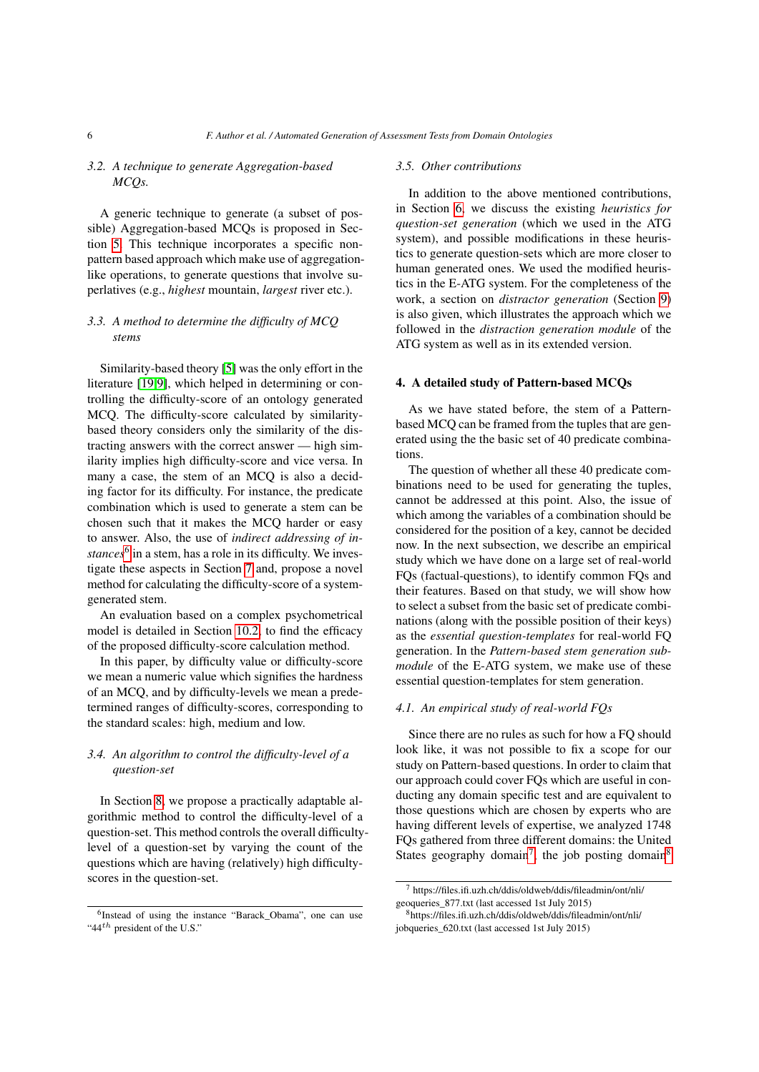# *3.2. A technique to generate Aggregation-based MCQs.*

A generic technique to generate (a subset of possible) Aggregation-based MCQs is proposed in Section [5.](#page-7-0) This technique incorporates a specific nonpattern based approach which make use of aggregationlike operations, to generate questions that involve superlatives (e.g., *highest* mountain, *largest* river etc.).

# *3.3. A method to determine the difficulty of MCQ stems*

Similarity-based theory [\[5\]](#page-20-11) was the only effort in the literature [\[19,](#page-21-9)[9\]](#page-20-12), which helped in determining or controlling the difficulty-score of an ontology generated MCQ. The difficulty-score calculated by similaritybased theory considers only the similarity of the distracting answers with the correct answer — high similarity implies high difficulty-score and vice versa. In many a case, the stem of an MCQ is also a deciding factor for its difficulty. For instance, the predicate combination which is used to generate a stem can be chosen such that it makes the MCQ harder or easy to answer. Also, the use of *indirect addressing of in-*stances<sup>[6](#page-5-2)</sup> in a stem, has a role in its difficulty. We investigate these aspects in Section [7](#page-11-0) and, propose a novel method for calculating the difficulty-score of a systemgenerated stem.

An evaluation based on a complex psychometrical model is detailed in Section [10.2,](#page-16-0) to find the efficacy of the proposed difficulty-score calculation method.

In this paper, by difficulty value or difficulty-score we mean a numeric value which signifies the hardness of an MCQ, and by difficulty-levels we mean a predetermined ranges of difficulty-scores, corresponding to the standard scales: high, medium and low.

# *3.4. An algorithm to control the difficulty-level of a question-set*

In Section [8,](#page-12-0) we propose a practically adaptable algorithmic method to control the difficulty-level of a question-set. This method controls the overall difficultylevel of a question-set by varying the count of the questions which are having (relatively) high difficultyscores in the question-set.

# *3.5. Other contributions*

In addition to the above mentioned contributions, in Section [6,](#page-9-0) we discuss the existing *heuristics for question-set generation* (which we used in the ATG system), and possible modifications in these heuristics to generate question-sets which are more closer to human generated ones. We used the modified heuristics in the E-ATG system. For the completeness of the work, a section on *distractor generation* (Section [9\)](#page-13-0) is also given, which illustrates the approach which we followed in the *distraction generation module* of the ATG system as well as in its extended version.

# <span id="page-5-0"></span>4. A detailed study of Pattern-based MCQs

As we have stated before, the stem of a Patternbased MCQ can be framed from the tuples that are generated using the the basic set of 40 predicate combinations.

The question of whether all these 40 predicate combinations need to be used for generating the tuples, cannot be addressed at this point. Also, the issue of which among the variables of a combination should be considered for the position of a key, cannot be decided now. In the next subsection, we describe an empirical study which we have done on a large set of real-world FQs (factual-questions), to identify common FQs and their features. Based on that study, we will show how to select a subset from the basic set of predicate combinations (along with the possible position of their keys) as the *essential question-templates* for real-world FQ generation. In the *Pattern-based stem generation submodule* of the E-ATG system, we make use of these essential question-templates for stem generation.

## <span id="page-5-1"></span>*4.1. An empirical study of real-world FQs*

Since there are no rules as such for how a FQ should look like, it was not possible to fix a scope for our study on Pattern-based questions. In order to claim that our approach could cover FQs which are useful in conducting any domain specific test and are equivalent to those questions which are chosen by experts who are having different levels of expertise, we analyzed 1748 FQs gathered from three different domains: the United States geography domain<sup>[7](#page-5-3)</sup>, the job posting domain<sup>[8](#page-5-4)</sup>

<span id="page-5-2"></span><sup>6</sup> Instead of using the instance "Barack\_Obama", one can use "44th president of the U.S."

<span id="page-5-3"></span><sup>7</sup> https://files.ifi.uzh.ch/ddis/oldweb/ddis/fileadmin/ont/nli/ geoqueries\_877.txt (last accessed 1st July 2015)

<span id="page-5-4"></span><sup>8</sup>https://files.ifi.uzh.ch/ddis/oldweb/ddis/fileadmin/ont/nli/ jobqueries\_620.txt (last accessed 1st July 2015)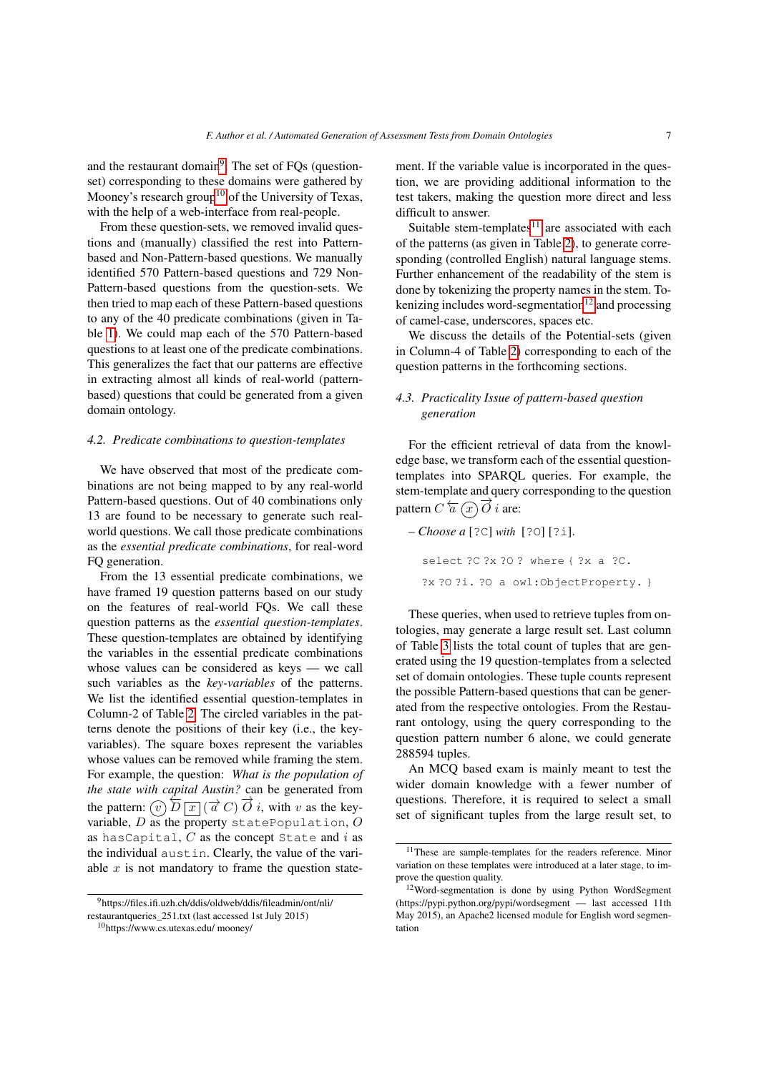and the restaurant domain<sup>[9](#page-6-0)</sup>. The set of FQs (questionset) corresponding to these domains were gathered by Mooney's research group<sup>[10](#page-6-1)</sup> of the University of Texas, with the help of a web-interface from real-people.

From these question-sets, we removed invalid questions and (manually) classified the rest into Patternbased and Non-Pattern-based questions. We manually identified 570 Pattern-based questions and 729 Non-Pattern-based questions from the question-sets. We then tried to map each of these Pattern-based questions to any of the 40 predicate combinations (given in Table [1\)](#page-4-0). We could map each of the 570 Pattern-based questions to at least one of the predicate combinations. This generalizes the fact that our patterns are effective in extracting almost all kinds of real-world (patternbased) questions that could be generated from a given domain ontology.

# <span id="page-6-4"></span>*4.2. Predicate combinations to question-templates*

We have observed that most of the predicate combinations are not being mapped to by any real-world Pattern-based questions. Out of 40 combinations only 13 are found to be necessary to generate such realworld questions. We call those predicate combinations as the *essential predicate combinations*, for real-word FQ generation.

From the 13 essential predicate combinations, we have framed 19 question patterns based on our study on the features of real-world FQs. We call these question patterns as the *essential question-templates*. These question-templates are obtained by identifying the variables in the essential predicate combinations whose values can be considered as keys — we call such variables as the *key-variables* of the patterns. We list the identified essential question-templates in Column-2 of Table [2.](#page-7-1) The circled variables in the patterns denote the positions of their key (i.e., the keyvariables). The square boxes represent the variables whose values can be removed while framing the stem. For example, the question: *What is the population of the state with capital Austin?* can be generated from the pattern:  $\widehat{v}$ )  $\overleftarrow{D}$   $\boxed{x}$  ( $\overrightarrow{a}$   $C$ )  $\overrightarrow{O}$  *i*, with *v* as the keyvariable,  $D$  as the property statePopulation,  $O$ as hasCapital,  $C$  as the concept State and  $i$  as the individual austin. Clearly, the value of the variable  $x$  is not mandatory to frame the question statement. If the variable value is incorporated in the question, we are providing additional information to the test takers, making the question more direct and less difficult to answer.

Suitable stem-templates $11$  are associated with each of the patterns (as given in Table [2\)](#page-7-1), to generate corresponding (controlled English) natural language stems. Further enhancement of the readability of the stem is done by tokenizing the property names in the stem. Tokenizing includes word-segmentation $12$  and processing of camel-case, underscores, spaces etc.

We discuss the details of the Potential-sets (given in Column-4 of Table [2\)](#page-7-1) corresponding to each of the question patterns in the forthcoming sections.

# *4.3. Practicality Issue of pattern-based question generation*

For the efficient retrieval of data from the knowledge base, we transform each of the essential questiontemplates into SPARQL queries. For example, the stem-template and query corresponding to the question pattern  $\overline{C} \overleftarrow{a} \overline{(x)} \overrightarrow{O} i$  are:

*– Choose a* [?C] *with* [?O] [?i]. select ?C ?x ?O ? where { ?x a ?C. ?x ?O ?i. ?O a owl:ObjectProperty. }

These queries, when used to retrieve tuples from ontologies, may generate a large result set. Last column of Table [3](#page-7-2) lists the total count of tuples that are generated using the 19 question-templates from a selected set of domain ontologies. These tuple counts represent the possible Pattern-based questions that can be generated from the respective ontologies. From the Restaurant ontology, using the query corresponding to the question pattern number 6 alone, we could generate 288594 tuples.

An MCQ based exam is mainly meant to test the wider domain knowledge with a fewer number of questions. Therefore, it is required to select a small set of significant tuples from the large result set, to

<span id="page-6-0"></span><sup>9</sup>https://files.ifi.uzh.ch/ddis/oldweb/ddis/fileadmin/ont/nli/ restaurantqueries\_251.txt (last accessed 1st July 2015)

<span id="page-6-1"></span><sup>10</sup>https://www.cs.utexas.edu/ mooney/

<span id="page-6-2"></span><sup>&</sup>lt;sup>11</sup>These are sample-templates for the readers reference. Minor variation on these templates were introduced at a later stage, to improve the question quality.

<span id="page-6-3"></span><sup>12</sup>Word-segmentation is done by using Python WordSegment (https://pypi.python.org/pypi/wordsegment — last accessed 11th May 2015), an Apache2 licensed module for English word segmentation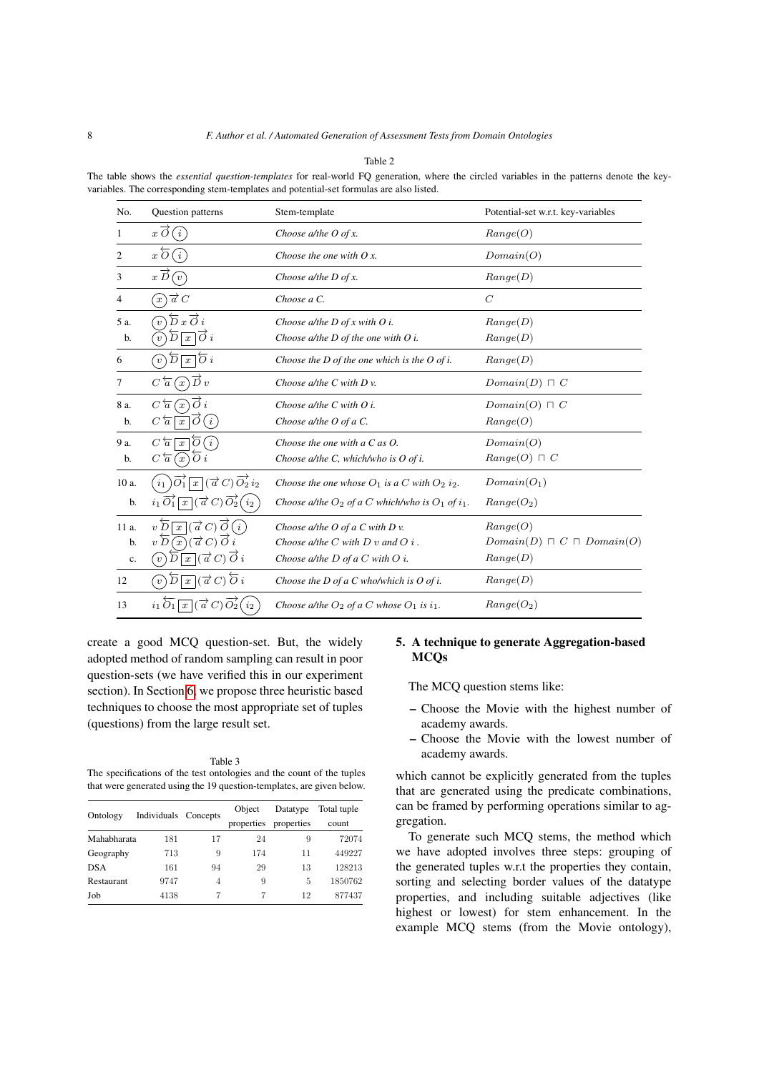|--|--|

<span id="page-7-1"></span>The table shows the *essential question-templates* for real-world FQ generation, where the circled variables in the patterns denote the keyvariables. The corresponding stem-templates and potential-set formulas are also listed.

| No.            | Question patterns                                                                                        | Stem-template                                                 | Potential-set w.r.t. key-variables    |
|----------------|----------------------------------------------------------------------------------------------------------|---------------------------------------------------------------|---------------------------------------|
| 1              | (i)<br>$x \circ$                                                                                         | Choose $a$ /the O of x.                                       | Range(O)                              |
| $\overline{c}$ | $x\,\overline{O}$<br>$\left( i\right)$                                                                   | Choose the one with $Qx$ .                                    | Domain(O)                             |
| 3              | $x\overline{D}$<br>$\sqrt{v}$                                                                            | Choose $a$ /the D of x.                                       | Range(D)                              |
| 4              | $\widehat{x}$ ) $\overrightarrow{a}$ C                                                                   | Choose a C.                                                   | $\mathcal{C}$                         |
| 5 a.           | $\overleftarrow{D}x\overrightarrow{O}i$<br>$v^{\prime}$                                                  | Choose a/the $D$ of x with $O$ i.                             | Range(D)                              |
| b.             | $\overline{x}$ $\overline{O}$ i<br>Б<br>$\overline{v}$                                                   | Choose $a$ /the D of the one with O i.                        | Range(D)                              |
| 6              | $\overline{D}\sqrt{x}\overline{O}i$<br>[v]                                                               | Choose the $D$ of the one which is the $O$ of i.              | Range(D)                              |
| 7              | $\overrightarrow{D}v$<br>$C\overleftarrow{a}(x)$                                                         | Choose $a$ /the C with D v.                                   | $Domain(D) \sqcap C$                  |
| 8 a.           | $\overrightarrow{O}i$<br>$C\overleftarrow{a}$<br>$\left(x\right)$                                        | Choose $a$ /the C with O i.                                   | $Domain(O) \sqcap C$                  |
| b.             | $\overline{O}(i)$<br>$C\overleftarrow{a}$<br>$\boldsymbol{x}$                                            | Choose a/the O of a C.                                        | Range(O)                              |
| 9 a.           | $C\overleftarrow{a}$<br>$\overline{x}$   $\overline{O}(i)$                                               | Choose the one with a $C$ as $O$ .                            | Domain(O)                             |
| b.             | $\overline{O} i$<br>$C\overleftarrow{a}(x)$                                                              | Choose $a$ /the C, which/who is O of i.                       | $Range(O) \sqcap C$                   |
| 10 a.          | $\overrightarrow{O_1}$ $\overrightarrow{a}$ $\overrightarrow{C}$ $\overrightarrow{O_2}$ $i_2$<br>$i_1$ ) | Choose the one whose $O_1$ is a C with $O_2$ i <sub>2</sub> . | $Domain(O_1)$                         |
| b.             | $\overrightarrow{x}$ $(\overrightarrow{a} C)\overrightarrow{O_2}(i_2)$<br>$i_1 \overrightarrow{O_1}$     | Choose a/the $O_2$ of a C which/who is $O_1$ of $i_1$ .       | $Range(O_2)$                          |
| 11 a.          | $\overline{x}$ $(\overrightarrow{a} C) \overrightarrow{O}(i)$<br>$v\,\overline{\!D}$                     | Choose $a$ /the O of a C with D v.                            | Range(O)                              |
| b.             | $(\vec{a}\,C)\,\vec{O}\,i$<br>$v\,\overline{\!D}$<br>$\left\langle x\right\rangle$                       | Choose $a$ /the C with D v and O i.                           | $Domain(D) \sqcap C \sqcap Domain(O)$ |
| $\mathbf{c}.$  | $\overline{x}$ $(\overrightarrow{a} C) \overrightarrow{O} i$<br>$\overline{v}$                           | Choose a/the $D$ of a $C$ with $O$ i.                         | Range(D)                              |
| 12             | $\boxed{x}$ $(\overrightarrow{a} C)$ $\overleftarrow{O} i$<br>$\overline{D}$<br>[v]                      | Choose the $D$ of a $C$ who/which is $O$ of i.                | Range(D)                              |
| 13             | $i_1 O_1$<br>$\vec{a}$ C)<br>$\boldsymbol{x}$<br>$i_{2}$                                                 | Choose a/the $O_2$ of a C whose $O_1$ is $i_1$ .              | $Range(O_2)$                          |

create a good MCQ question-set. But, the widely adopted method of random sampling can result in poor question-sets (we have verified this in our experiment section). In Section [6,](#page-9-0) we propose three heuristic based techniques to choose the most appropriate set of tuples (questions) from the large result set.

<span id="page-7-2"></span>Table 3 The specifications of the test ontologies and the count of the tuples that were generated using the 19 question-templates, are given below.

| Ontology          | Individuals Concepts |    | Object     | Datatype   | Total tuple |
|-------------------|----------------------|----|------------|------------|-------------|
|                   |                      |    | properties | properties | count       |
| Mahabharata       | 181                  | 17 | 24         | 9          | 72074       |
| Geography         | 713                  | 9  | 174        | 11         | 449227      |
| <b>DSA</b>        | 161                  | 94 | 29         | 13         | 128213      |
| <b>Restaurant</b> | 9747                 | 4  | 9          | 5          | 1850762     |
| Job               | 4138                 |    |            | 12         | 877437      |

# <span id="page-7-0"></span>5. A technique to generate Aggregation-based **MCOs**

The MCQ question stems like:

- Choose the Movie with the highest number of academy awards.
- Choose the Movie with the lowest number of academy awards.

which cannot be explicitly generated from the tuples that are generated using the predicate combinations, can be framed by performing operations similar to aggregation.

To generate such MCQ stems, the method which we have adopted involves three steps: grouping of the generated tuples w.r.t the properties they contain, sorting and selecting border values of the datatype properties, and including suitable adjectives (like highest or lowest) for stem enhancement. In the example MCQ stems (from the Movie ontology),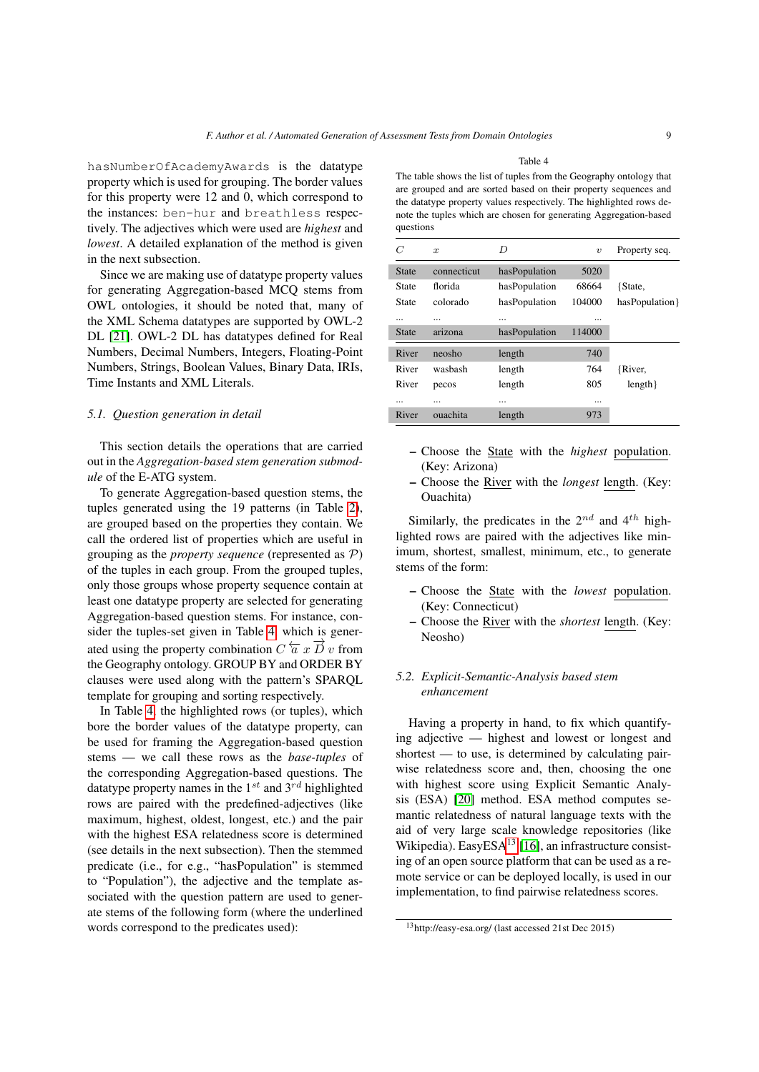hasNumberOfAcademyAwards is the datatype property which is used for grouping. The border values for this property were 12 and 0, which correspond to the instances: ben-hur and breathless respectively. The adjectives which were used are *highest* and *lowest*. A detailed explanation of the method is given in the next subsection.

Since we are making use of datatype property values for generating Aggregation-based MCQ stems from OWL ontologies, it should be noted that, many of the XML Schema datatypes are supported by OWL-2 DL [\[21\]](#page-21-10). OWL-2 DL has datatypes defined for Real Numbers, Decimal Numbers, Integers, Floating-Point Numbers, Strings, Boolean Values, Binary Data, IRIs, Time Instants and XML Literals.

## *5.1. Question generation in detail*

This section details the operations that are carried out in the *Aggregation-based stem generation submodule* of the E-ATG system.

To generate Aggregation-based question stems, the tuples generated using the 19 patterns (in Table [2\)](#page-7-1), are grouped based on the properties they contain. We call the ordered list of properties which are useful in grouping as the *property sequence* (represented as P) of the tuples in each group. From the grouped tuples, only those groups whose property sequence contain at least one datatype property are selected for generating Aggregation-based question stems. For instance, consider the tuples-set given in Table [4,](#page-8-0) which is generated using the property combination  $C \overleftarrow{a} x \overrightarrow{D} v$  from the Geography ontology. GROUP BY and ORDER BY clauses were used along with the pattern's SPARQL template for grouping and sorting respectively.

In Table [4,](#page-8-0) the highlighted rows (or tuples), which bore the border values of the datatype property, can be used for framing the Aggregation-based question stems — we call these rows as the *base-tuples* of the corresponding Aggregation-based questions. The datatype property names in the  $1^{st}$  and  $3^{rd}$  highlighted rows are paired with the predefined-adjectives (like maximum, highest, oldest, longest, etc.) and the pair with the highest ESA relatedness score is determined (see details in the next subsection). Then the stemmed predicate (i.e., for e.g., "hasPopulation" is stemmed to "Population"), the adjective and the template associated with the question pattern are used to generate stems of the following form (where the underlined words correspond to the predicates used):

Table 4

<span id="page-8-0"></span>The table shows the list of tuples from the Geography ontology that are grouped and are sorted based on their property sequences and the datatype property values respectively. The highlighted rows denote the tuples which are chosen for generating Aggregation-based questions

| C            | $\boldsymbol{x}$ | D             | $\boldsymbol{\eta}$ | Property seq.   |
|--------------|------------------|---------------|---------------------|-----------------|
| <b>State</b> | connecticut      | hasPopulation | 5020                |                 |
| State        | florida          | hasPopulation | 68664               | {State,         |
| State        | colorado         | hasPopulation | 104000              | hasPopulation } |
|              |                  |               |                     |                 |
| State        | arizona          | hasPopulation | 114000              |                 |
| River        | neosho           | length        | 740                 |                 |
| River        | washash          | length        | 764                 | {River,         |
| River        | pecos            | length        | 805                 | length          |
|              |                  |               |                     |                 |
| River        | ouachita         | length        | 973                 |                 |
|              |                  |               |                     |                 |

- Choose the State with the *highest* population. (Key: Arizona)
- Choose the River with the *longest* length. (Key: Ouachita)

Similarly, the predicates in the  $2^{nd}$  and  $4^{th}$  highlighted rows are paired with the adjectives like minimum, shortest, smallest, minimum, etc., to generate stems of the form:

- Choose the State with the *lowest* population. (Key: Connecticut)
- Choose the River with the *shortest* length. (Key: Neosho)

# *5.2. Explicit-Semantic-Analysis based stem enhancement*

Having a property in hand, to fix which quantifying adjective — highest and lowest or longest and shortest — to use, is determined by calculating pairwise relatedness score and, then, choosing the one with highest score using Explicit Semantic Analysis (ESA) [\[20\]](#page-21-11) method. ESA method computes semantic relatedness of natural language texts with the aid of very large scale knowledge repositories (like Wikipedia). EasyESA $^{13}$  $^{13}$  $^{13}$  [\[16\]](#page-20-13), an infrastructure consisting of an open source platform that can be used as a remote service or can be deployed locally, is used in our implementation, to find pairwise relatedness scores.

<span id="page-8-1"></span><sup>13</sup>http://easy-esa.org/ (last accessed 21st Dec 2015)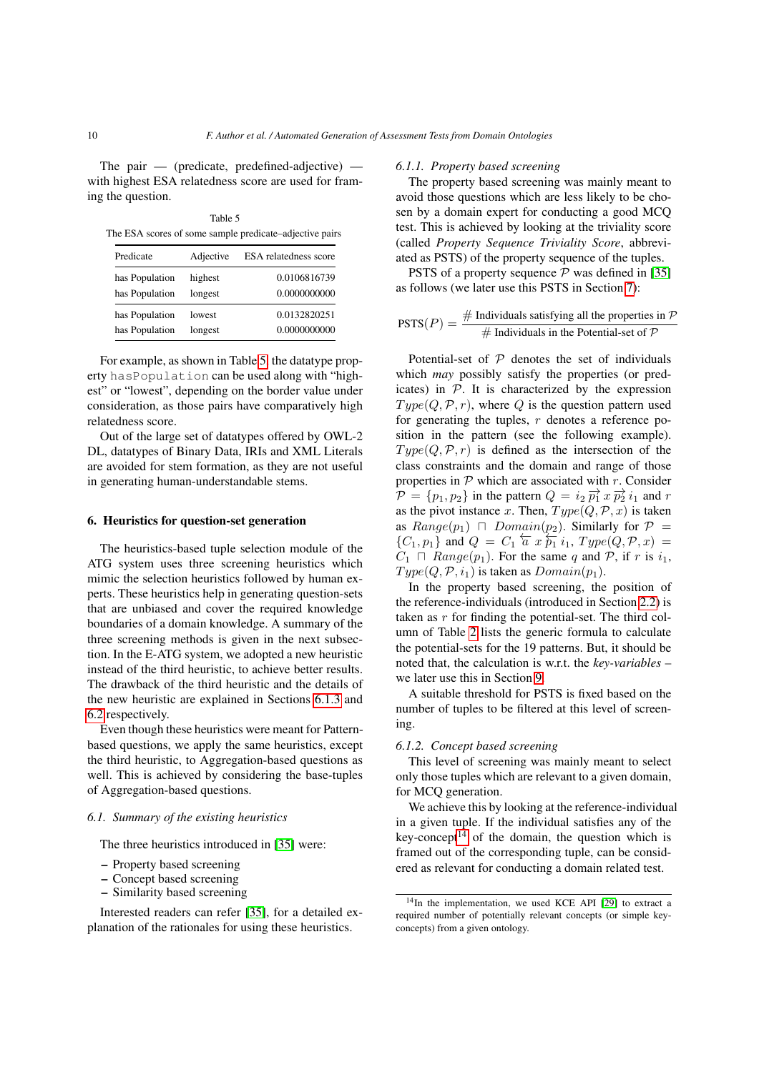The pair  $-$  (predicate, predefined-adjective)  $$ with highest ESA relatedness score are used for framing the question.

<span id="page-9-1"></span>Table 5 The ESA scores of some sample predicate–adjective pairs

| Predicate      | Adjective | ESA relatedness score |
|----------------|-----------|-----------------------|
| has Population | highest   | 0.0106816739          |
| has Population | longest   | 0.0000000000          |
| has Population | lowest    | 0.0132820251          |
| has Population | longest   | 0.0000000000          |

For example, as shown in Table [5,](#page-9-1) the datatype property hasPopulation can be used along with "highest" or "lowest", depending on the border value under consideration, as those pairs have comparatively high relatedness score.

Out of the large set of datatypes offered by OWL-2 DL, datatypes of Binary Data, IRIs and XML Literals are avoided for stem formation, as they are not useful in generating human-understandable stems.

# <span id="page-9-0"></span>6. Heuristics for question-set generation

The heuristics-based tuple selection module of the ATG system uses three screening heuristics which mimic the selection heuristics followed by human experts. These heuristics help in generating question-sets that are unbiased and cover the required knowledge boundaries of a domain knowledge. A summary of the three screening methods is given in the next subsection. In the E-ATG system, we adopted a new heuristic instead of the third heuristic, to achieve better results. The drawback of the third heuristic and the details of the new heuristic are explained in Sections [6.1.3](#page-10-0) and [6.2](#page-10-1) respectively.

Even though these heuristics were meant for Patternbased questions, we apply the same heuristics, except the third heuristic, to Aggregation-based questions as well. This is achieved by considering the base-tuples of Aggregation-based questions.

# *6.1. Summary of the existing heuristics*

The three heuristics introduced in [\[35\]](#page-21-5) were:

- Property based screening
- Concept based screening
- Similarity based screening

Interested readers can refer [\[35\]](#page-21-5), for a detailed explanation of the rationales for using these heuristics.

#### <span id="page-9-3"></span>*6.1.1. Property based screening*

The property based screening was mainly meant to avoid those questions which are less likely to be chosen by a domain expert for conducting a good MCQ test. This is achieved by looking at the triviality score (called *Property Sequence Triviality Score*, abbreviated as PSTS) of the property sequence of the tuples.

PSTS of a property sequence  $P$  was defined in [\[35\]](#page-21-5) as follows (we later use this PSTS in Section [7\)](#page-11-0):

$$
PSTS(P) = \frac{\# \text{ Individuals satisfying all the properties in } \mathcal{P}}{\# \text{ Individuals in the Potential-set of } \mathcal{P}}
$$

Potential-set of  $P$  denotes the set of individuals which *may* possibly satisfy the properties (or predicates) in  $P$ . It is characterized by the expression  $Type(Q, \mathcal{P}, r)$ , where Q is the question pattern used for generating the tuples,  $r$  denotes a reference position in the pattern (see the following example).  $Type(Q, \mathcal{P}, r)$  is defined as the intersection of the class constraints and the domain and range of those properties in  $P$  which are associated with r. Consider  $\mathcal{P} = \{p_1, p_2\}$  in the pattern  $Q = i_2 \overrightarrow{p_1} x \overrightarrow{p_2} i_1$  and r as the pivot instance x. Then,  $Type(Q, \mathcal{P}, x)$  is taken as  $Range(p_1) \cap Domain(p_2)$ . Similarly for  $P =$  ${C_1, p_1}$  and  $Q = C_1$   $\overleftarrow{a}$   $x \overleftarrow{p_1} i_1$ ,  $Type(Q, \mathcal{P}, x)$  $C_1 \cap Range(p_1)$ . For the same q and P, if r is  $i_1$ ,  $Type(Q, \mathcal{P}, i_1)$  is taken as  $Domain(p_1)$ .

In the property based screening, the position of the reference-individuals (introduced in Section [2.2\)](#page-2-1) is taken as  $r$  for finding the potential-set. The third column of Table [2](#page-7-1) lists the generic formula to calculate the potential-sets for the 19 patterns. But, it should be noted that, the calculation is w.r.t. the *key-variables* – we later use this in Section [9.](#page-13-0)

A suitable threshold for PSTS is fixed based on the number of tuples to be filtered at this level of screening.

# *6.1.2. Concept based screening*

This level of screening was mainly meant to select only those tuples which are relevant to a given domain, for MCQ generation.

We achieve this by looking at the reference-individual in a given tuple. If the individual satisfies any of the key-concept<sup>[14](#page-9-2)</sup> of the domain, the question which is framed out of the corresponding tuple, can be considered as relevant for conducting a domain related test.

<span id="page-9-2"></span> $14$ In the implementation, we used KCE API [\[29\]](#page-21-12) to extract a required number of potentially relevant concepts (or simple keyconcepts) from a given ontology.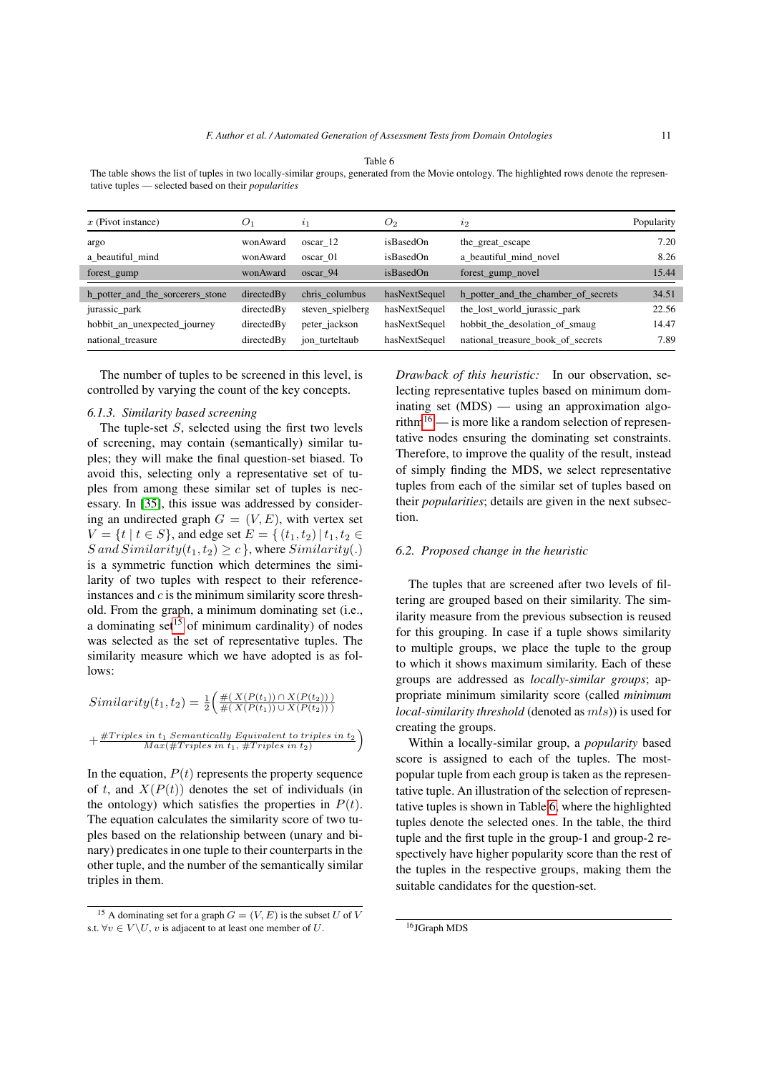<span id="page-10-4"></span>The table shows the list of tuples in two locally-similar groups, generated from the Movie ontology. The highlighted rows denote the representative tuples — selected based on their *popularities*

| $x$ (Pivot instance)             | O <sub>1</sub> | 2 <sub>1</sub>   | O <sub>2</sub> | $\iota_2$                           | Popularity |
|----------------------------------|----------------|------------------|----------------|-------------------------------------|------------|
| argo                             | wonAward       | oscar 12         | isBasedOn      | the great escape                    | 7.20       |
| a beautiful mind                 | wonAward       | oscar 01         | isBasedOn      | a_beautiful_mind_novel              | 8.26       |
| forest_gump                      | wonAward       | oscar 94         | isBasedOn      | forest_gump_novel                   | 15.44      |
| h_potter_and_the_sorcerers_stone | directedBy     | chris columbus   | hasNextSequel  | h_potter_and_the_chamber_of_secrets | 34.51      |
| jurassic_park                    | directedBy     | steven_spielberg | hasNextSequel  | the_lost_world_jurassic_park        | 22.56      |
| hobbit_an_unexpected_journey     | directedBy     | peter_jackson    | hasNextSequel  | hobbit the desolation of smaught    | 14.47      |
| national treasure                | directedBy     | jon turteltaub   | hasNextSequel  | national treasure book of secrets   | 7.89       |

The number of tuples to be screened in this level, is controlled by varying the count of the key concepts.

#### <span id="page-10-5"></span>*6.1.3. Similarity based screening*

The tuple-set S, selected using the first two levels of screening, may contain (semantically) similar tuples; they will make the final question-set biased. To avoid this, selecting only a representative set of tuples from among these similar set of tuples is necessary. In [\[35\]](#page-21-5), this issue was addressed by considering an undirected graph  $G = (V, E)$ , with vertex set  $V = \{t \mid t \in S\}$ , and edge set  $E = \{(t_1, t_2) \mid t_1, t_2 \in$  $S$  and  $Similarly(t_1, t_2) \geq c$ , where  $Similarly(.)$ is a symmetric function which determines the similarity of two tuples with respect to their referenceinstances and  $c$  is the minimum similarity score threshold. From the graph, a minimum dominating set (i.e., a dominating set<sup>[15](#page-10-2)</sup> of minimum cardinality) of nodes was selected as the set of representative tuples. The similarity measure which we have adopted is as follows:

$$
Similarity(t_1, t_2) = \frac{1}{2} \left( \frac{\#(X(P(t_1)) \cap X(P(t_2)))}{\#(X(P(t_1)) \cup X(P(t_2)))} + \frac{\#Triples}{Max(\#Triples in t_1, \#Triples in t_2)} \right)
$$

In the equation,  $P(t)$  represents the property sequence of t, and  $X(P(t))$  denotes the set of individuals (in the ontology) which satisfies the properties in  $P(t)$ . The equation calculates the similarity score of two tuples based on the relationship between (unary and binary) predicates in one tuple to their counterparts in the other tuple, and the number of the semantically similar triples in them.

<span id="page-10-0"></span>*Drawback of this heuristic:* In our observation, selecting representative tuples based on minimum dominating set (MDS) — using an approximation algo-rithm<sup>[16](#page-10-3)</sup> — is more like a random selection of representative nodes ensuring the dominating set constraints. Therefore, to improve the quality of the result, instead of simply finding the MDS, we select representative tuples from each of the similar set of tuples based on their *popularities*; details are given in the next subsection.

#### <span id="page-10-1"></span>*6.2. Proposed change in the heuristic*

The tuples that are screened after two levels of filtering are grouped based on their similarity. The similarity measure from the previous subsection is reused for this grouping. In case if a tuple shows similarity to multiple groups, we place the tuple to the group to which it shows maximum similarity. Each of these groups are addressed as *locally-similar groups*; appropriate minimum similarity score (called *minimum local-similarity threshold* (denoted as  $mls$ )) is used for creating the groups.

Within a locally-similar group, a *popularity* based score is assigned to each of the tuples. The mostpopular tuple from each group is taken as the representative tuple. An illustration of the selection of representative tuples is shown in Table [6,](#page-10-4) where the highlighted tuples denote the selected ones. In the table, the third tuple and the first tuple in the group-1 and group-2 respectively have higher popularity score than the rest of the tuples in the respective groups, making them the suitable candidates for the question-set.

<span id="page-10-2"></span><sup>&</sup>lt;sup>15</sup> A dominating set for a graph  $G = (V, E)$  is the subset U of V s.t.  $\forall v \in V \backslash U$ , v is adjacent to at least one member of U.

<span id="page-10-3"></span><sup>16</sup>JGraph MDS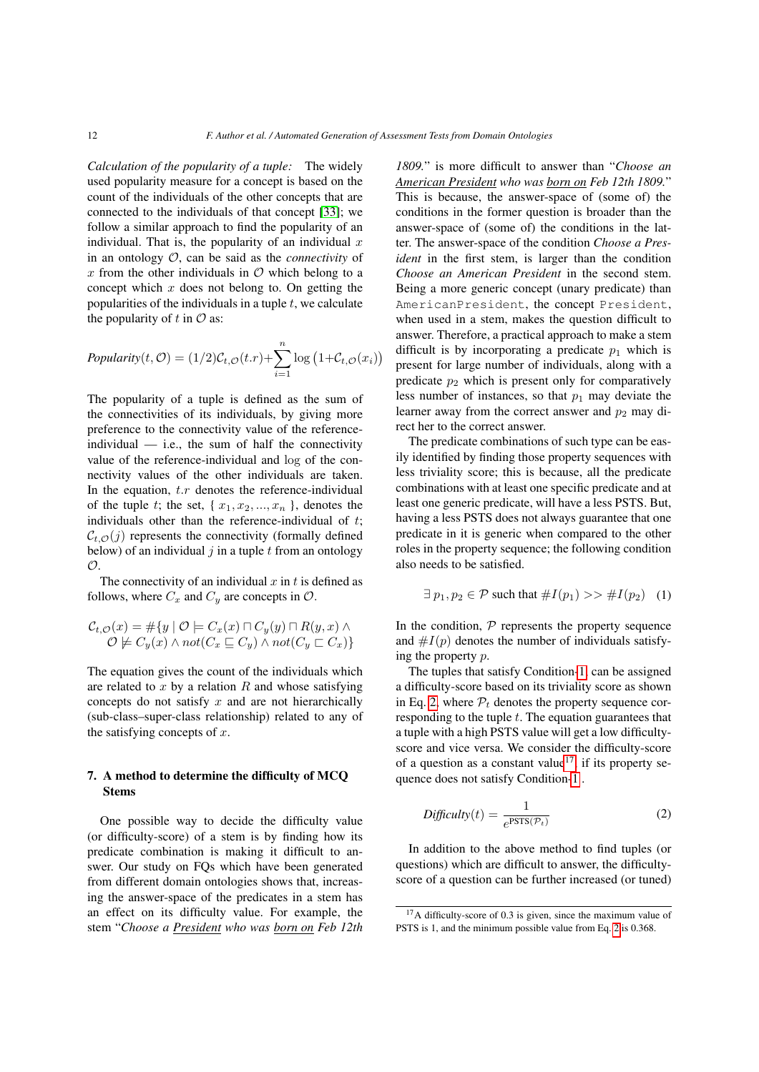*Calculation of the popularity of a tuple:* The widely used popularity measure for a concept is based on the count of the individuals of the other concepts that are connected to the individuals of that concept [\[33\]](#page-21-13); we follow a similar approach to find the popularity of an individual. That is, the popularity of an individual  $x$ in an ontology O, can be said as the *connectivity* of x from the other individuals in  $\mathcal O$  which belong to a concept which  $x$  does not belong to. On getting the popularities of the individuals in a tuple  $t$ , we calculate the popularity of t in  $\mathcal O$  as:

$$
Popularity(t, \mathcal{O}) = (1/2)\mathcal{C}_{t,\mathcal{O}}(t.r) + \sum_{i=1}^{n} \log (1 + \mathcal{C}_{t,\mathcal{O}}(x_i))
$$

The popularity of a tuple is defined as the sum of the connectivities of its individuals, by giving more preference to the connectivity value of the referenceindividual  $-$  i.e., the sum of half the connectivity value of the reference-individual and log of the connectivity values of the other individuals are taken. In the equation,  $t.r$  denotes the reference-individual of the tuple t; the set,  $\{x_1, x_2, \ldots, x_n\}$ , denotes the individuals other than the reference-individual of  $t$ ;  $C_{t,\mathcal{O}}(j)$  represents the connectivity (formally defined below) of an individual  $j$  in a tuple  $t$  from an ontology  $\mathcal{O}$ .

The connectivity of an individual  $x$  in  $t$  is defined as follows, where  $C_x$  and  $C_y$  are concepts in  $\mathcal{O}$ .

$$
\mathcal{C}_{t,\mathcal{O}}(x) = \#\{y \mid \mathcal{O} \models C_x(x) \sqcap C_y(y) \sqcap R(y,x) \land \mathcal{O} \not\models C_y(x) \land not(C_x \sqsubseteq C_y) \land not(C_y \sqsubset C_x)\}\
$$

The equation gives the count of the individuals which are related to  $x$  by a relation  $R$  and whose satisfying concepts do not satisfy  $x$  and are not hierarchically (sub-class–super-class relationship) related to any of the satisfying concepts of  $x$ .

# <span id="page-11-0"></span>7. A method to determine the difficulty of MCQ Stems

One possible way to decide the difficulty value (or difficulty-score) of a stem is by finding how its predicate combination is making it difficult to answer. Our study on FQs which have been generated from different domain ontologies shows that, increasing the answer-space of the predicates in a stem has an effect on its difficulty value. For example, the stem "*Choose a President who was born on Feb 12th*

*1809.*" is more difficult to answer than "*Choose an American President who was born on Feb 12th 1809.*" This is because, the answer-space of (some of) the conditions in the former question is broader than the answer-space of (some of) the conditions in the latter. The answer-space of the condition *Choose a President* in the first stem, is larger than the condition *Choose an American President* in the second stem. Being a more generic concept (unary predicate) than AmericanPresident, the concept President, when used in a stem, makes the question difficult to answer. Therefore, a practical approach to make a stem difficult is by incorporating a predicate  $p_1$  which is present for large number of individuals, along with a predicate  $p_2$  which is present only for comparatively less number of instances, so that  $p_1$  may deviate the learner away from the correct answer and  $p_2$  may direct her to the correct answer.

The predicate combinations of such type can be easily identified by finding those property sequences with less triviality score; this is because, all the predicate combinations with at least one specific predicate and at least one generic predicate, will have a less PSTS. But, having a less PSTS does not always guarantee that one predicate in it is generic when compared to the other roles in the property sequence; the following condition also needs to be satisfied.

<span id="page-11-1"></span>
$$
\exists p_1, p_2 \in \mathcal{P} \text{ such that } \#I(p_1) \gg \#I(p_2) \quad (1)
$$

In the condition,  $P$  represents the property sequence and  $\#I(p)$  denotes the number of individuals satisfying the property p.

The tuples that satisfy Condition[-1,](#page-11-1) can be assigned a difficulty-score based on its triviality score as shown in Eq. [2,](#page-11-2) where  $P_t$  denotes the property sequence corresponding to the tuple  $t$ . The equation guarantees that a tuple with a high PSTS value will get a low difficultyscore and vice versa. We consider the difficulty-score of a question as a constant value<sup>[17](#page-11-3)</sup>, if its property sequence does not satisfy Condition[-1](#page-11-1) .

<span id="page-11-2"></span>
$$
Difficulty(t) = \frac{1}{e^{PSTS(\mathcal{P}_t)}}
$$
\n(2)

In addition to the above method to find tuples (or questions) which are difficult to answer, the difficultyscore of a question can be further increased (or tuned)

<span id="page-11-3"></span><sup>&</sup>lt;sup>17</sup>A difficulty-score of 0.3 is given, since the maximum value of PSTS is 1, and the minimum possible value from Eq. [2](#page-11-2) is 0.368.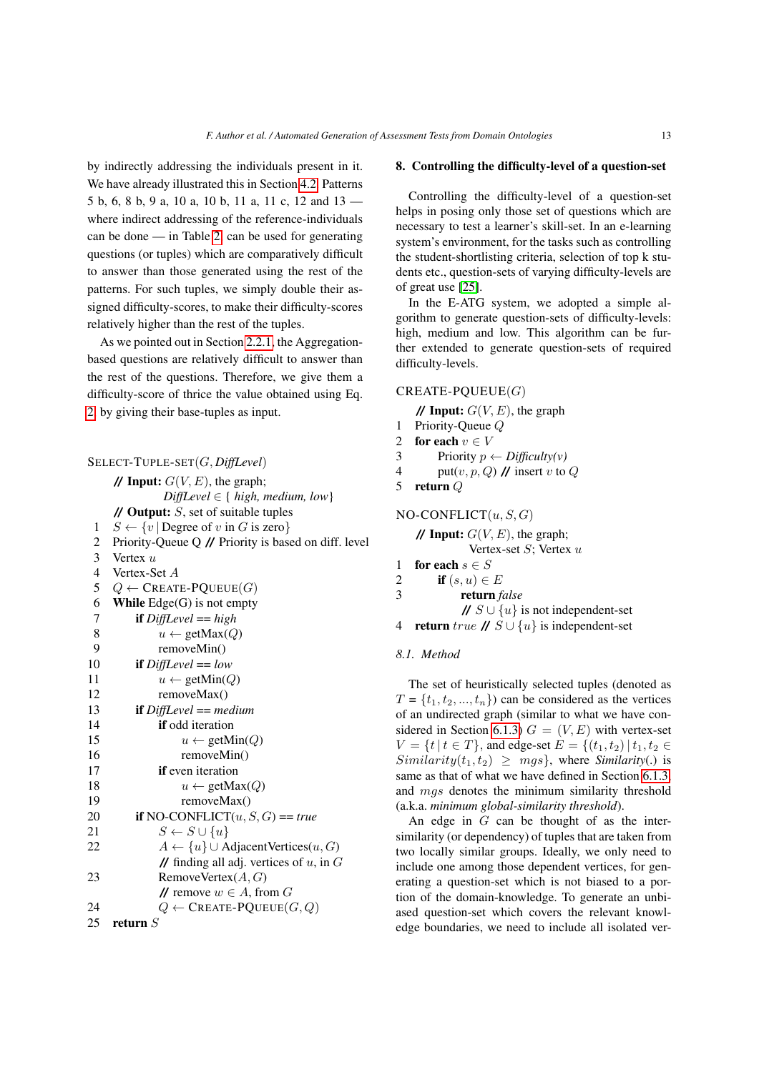by indirectly addressing the individuals present in it. We have already illustrated this in Section [4.2.](#page-6-4) Patterns 5 b, 6, 8 b, 9 a, 10 a, 10 b, 11 a, 11 c, 12 and 13 where indirect addressing of the reference-individuals can be done — in Table [2,](#page-7-1) can be used for generating questions (or tuples) which are comparatively difficult to answer than those generated using the rest of the patterns. For such tuples, we simply double their assigned difficulty-scores, to make their difficulty-scores relatively higher than the rest of the tuples.

As we pointed out in Section [2.2.1,](#page-3-5) the Aggregationbased questions are relatively difficult to answer than the rest of the questions. Therefore, we give them a difficulty-score of thrice the value obtained using Eq. [2,](#page-11-2) by giving their base-tuples as input.

|                         | $\text{SELECT-TUPLE-SET}(G, \text{DiffLevel})$                               |
|-------------------------|------------------------------------------------------------------------------|
|                         | // Input: $G(V, E)$ , the graph;                                             |
|                         | $DiffLevel \in \{ high, medium, low \}$                                      |
|                         | $\mathcal N$ Output: $S$ , set of suitable tuples                            |
| 1                       | $S \leftarrow \{v \mid \text{Degree of } v \text{ in } G \text{ is zero}\}\$ |
| $\overline{c}$          | Priority-Queue Q // Priority is based on diff. level                         |
| $\overline{\mathbf{3}}$ | Vertex $u$                                                                   |
| $\overline{4}$          | Vertex-Set A                                                                 |
| 5                       | $Q \leftarrow$ CREATE-PQUEUE $(G)$                                           |
| 6                       | While Edge(G) is not empty                                                   |
| $\overline{7}$          | if $DiffLevel = high$                                                        |
| 8                       | $u \leftarrow \text{getMax}(Q)$                                              |
| 9                       | removeMin()                                                                  |
| 10                      | <b>if</b> $DiffLevel == low$                                                 |
| 11                      | $u \leftarrow \text{getMin}(Q)$                                              |
| 12                      | removeMax()                                                                  |
| 13                      | <b>if</b> $DiffLevel == medium$                                              |
| 14                      | <b>if</b> odd iteration                                                      |
| 15                      | $u \leftarrow \text{getMin}(Q)$                                              |
| 16                      | removeMin()                                                                  |
| 17                      | <b>if</b> even iteration                                                     |
| 18                      | $u \leftarrow \text{getMax}(Q)$                                              |
| 19                      | removeMax()                                                                  |
| 20                      | <b>if</b> NO-CONFLICT $(u, S, G) == true$                                    |
| 21                      | $S \leftarrow S \cup \{u\}$                                                  |
| 22                      | $A \leftarrow \{u\} \cup \text{AdjacentVertices}(u, G)$                      |
|                         | // finding all adj. vertices of $u$ , in $G$                                 |
| 23                      | RemoveVertex $(A, G)$                                                        |
|                         | // remove $w \in A$ , from G                                                 |
| 24                      | $Q \leftarrow \mathsf{CREATE\text{-}PQUEUE}(G,Q)$                            |
| 25                      | return $S$                                                                   |

#### <span id="page-12-0"></span>8. Controlling the difficulty-level of a question-set

Controlling the difficulty-level of a question-set helps in posing only those set of questions which are necessary to test a learner's skill-set. In an e-learning system's environment, for the tasks such as controlling the student-shortlisting criteria, selection of top k students etc., question-sets of varying difficulty-levels are of great use [\[25\]](#page-21-14).

In the E-ATG system, we adopted a simple algorithm to generate question-sets of difficulty-levels: high, medium and low. This algorithm can be further extended to generate question-sets of required difficulty-levels.

# $CREATE-PQUEUE(G)$

**// Input:**  $G(V, E)$ , the graph

- 1 Priority-Queue Q
- 2 for each  $v \in V$ <br>3 Priority  $n \in V$
- 3 Priority  $p \leftarrow \text{Difficulty}(v)$ <br>4 put(*v*, *n*, *Q*) *II* insert *v* to
- put(v, p, Q)  $\prime\prime$  insert v to Q
- 5 return Q

# $NO-CONFLICT(u, S, G)$

**// Input:**  $G(V, E)$ , the graph; Vertex-set  $S$ ; Vertex  $u$ 

- 1 for each  $s \in S$ <br>2 if  $(s, u) \in$
- 2 if  $(s, u) \in E$ <br>3 return *f*
- 3 return *false*

**//**  $S \cup \{u\}$  is not independent-set 4 **return** true  $\mathcal{U} S \cup \{u\}$  is independent-set

#### *8.1. Method*

The set of heuristically selected tuples (denoted as  $T = \{t_1, t_2, ..., t_n\}$  can be considered as the vertices of an undirected graph (similar to what we have con-sidered in Section [6.1.3\)](#page-10-5)  $G = (V, E)$  with vertex-set  $V = \{t | t \in T\}$ , and edge-set  $E = \{(t_1, t_2) | t_1, t_2 \in$  $Similarly(t_1, t_2) > mqs$ , where *Similarity*(.) is same as that of what we have defined in Section [6.1.3,](#page-10-5) and mgs denotes the minimum similarity threshold (a.k.a. *minimum global-similarity threshold*).

An edge in  $G$  can be thought of as the intersimilarity (or dependency) of tuples that are taken from two locally similar groups. Ideally, we only need to include one among those dependent vertices, for generating a question-set which is not biased to a portion of the domain-knowledge. To generate an unbiased question-set which covers the relevant knowledge boundaries, we need to include all isolated ver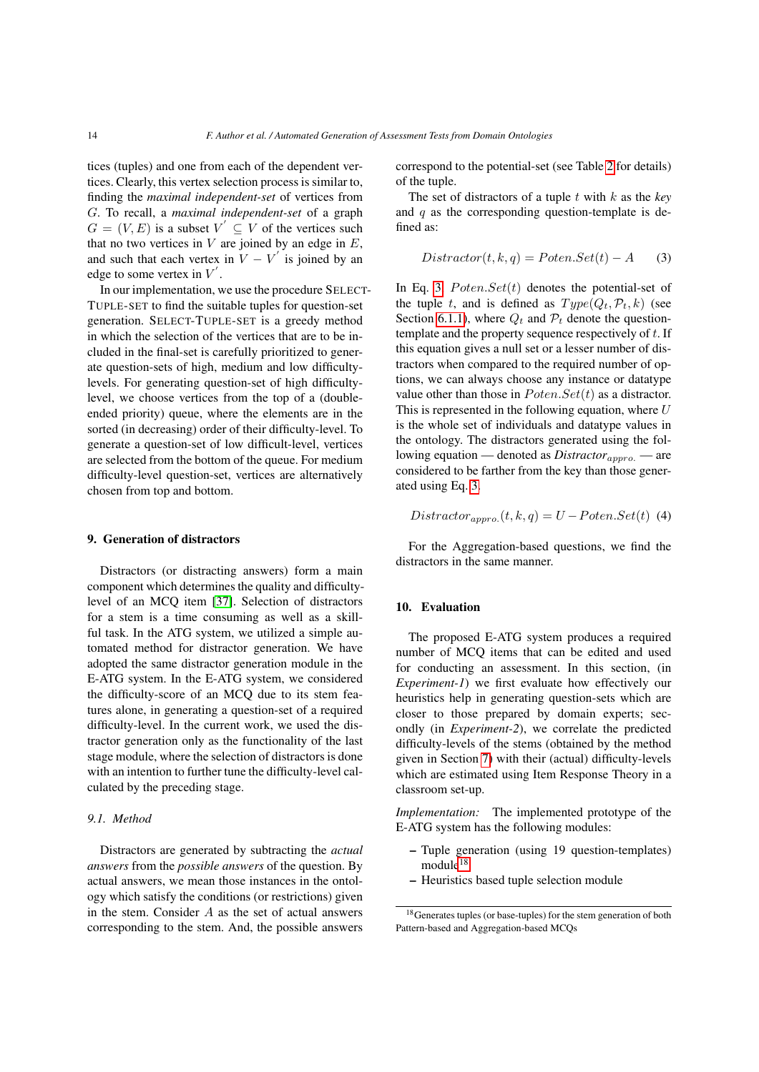tices (tuples) and one from each of the dependent vertices. Clearly, this vertex selection process is similar to, finding the *maximal independent-set* of vertices from G. To recall, a *maximal independent-set* of a graph  $G = (V, E)$  is a subset  $V' \subseteq V$  of the vertices such that no two vertices in  $V$  are joined by an edge in  $E$ , and such that each vertex in  $V - V'$  is joined by an edge to some vertex in  $V^{'}$ .

In our implementation, we use the procedure SELECT-TUPLE-SET to find the suitable tuples for question-set generation. SELECT-TUPLE-SET is a greedy method in which the selection of the vertices that are to be included in the final-set is carefully prioritized to generate question-sets of high, medium and low difficultylevels. For generating question-set of high difficultylevel, we choose vertices from the top of a (doubleended priority) queue, where the elements are in the sorted (in decreasing) order of their difficulty-level. To generate a question-set of low difficult-level, vertices are selected from the bottom of the queue. For medium difficulty-level question-set, vertices are alternatively chosen from top and bottom.

## <span id="page-13-0"></span>9. Generation of distractors

Distractors (or distracting answers) form a main component which determines the quality and difficultylevel of an MCQ item [\[37\]](#page-21-15). Selection of distractors for a stem is a time consuming as well as a skillful task. In the ATG system, we utilized a simple automated method for distractor generation. We have adopted the same distractor generation module in the E-ATG system. In the E-ATG system, we considered the difficulty-score of an MCQ due to its stem features alone, in generating a question-set of a required difficulty-level. In the current work, we used the distractor generation only as the functionality of the last stage module, where the selection of distractors is done with an intention to further tune the difficulty-level calculated by the preceding stage.

#### *9.1. Method*

Distractors are generated by subtracting the *actual answers* from the *possible answers* of the question. By actual answers, we mean those instances in the ontology which satisfy the conditions (or restrictions) given in the stem. Consider A as the set of actual answers corresponding to the stem. And, the possible answers correspond to the potential-set (see Table [2](#page-7-1) for details) of the tuple.

The set of distractors of a tuple t with k as the *key* and  $q$  as the corresponding question-template is defined as:

<span id="page-13-1"></span>
$$
Distractor(t, k, q) = Poten. Set(t) - A
$$
 (3)

In Eq. [3,](#page-13-1)  $Poten. Set(t)$  denotes the potential-set of the tuple t, and is defined as  $Type(Q_t, \mathcal{P}_t, k)$  (see Section [6.1.1\)](#page-9-3), where  $Q_t$  and  $P_t$  denote the questiontemplate and the property sequence respectively of  $t$ . If this equation gives a null set or a lesser number of distractors when compared to the required number of options, we can always choose any instance or datatype value other than those in  $Poten. Set(t)$  as a distractor. This is represented in the following equation, where  $U$ is the whole set of individuals and datatype values in the ontology. The distractors generated using the following equation — denoted as *Distractor*<sub>appro.</sub> — are considered to be farther from the key than those generated using Eq. [3.](#page-13-1)

$$
Distractor_{appro.}(t, k, q) = U - Poten. Set(t)
$$
 (4)

For the Aggregation-based questions, we find the distractors in the same manner.

# 10. Evaluation

The proposed E-ATG system produces a required number of MCQ items that can be edited and used for conducting an assessment. In this section, (in *Experiment-1*) we first evaluate how effectively our heuristics help in generating question-sets which are closer to those prepared by domain experts; secondly (in *Experiment-2*), we correlate the predicted difficulty-levels of the stems (obtained by the method given in Section [7\)](#page-11-0) with their (actual) difficulty-levels which are estimated using Item Response Theory in a classroom set-up.

*Implementation:* The implemented prototype of the E-ATG system has the following modules:

- Tuple generation (using 19 question-templates)  $module<sup>18</sup>$  $module<sup>18</sup>$  $module<sup>18</sup>$
- Heuristics based tuple selection module

<span id="page-13-2"></span><sup>18</sup>Generates tuples (or base-tuples) for the stem generation of both Pattern-based and Aggregation-based MCQs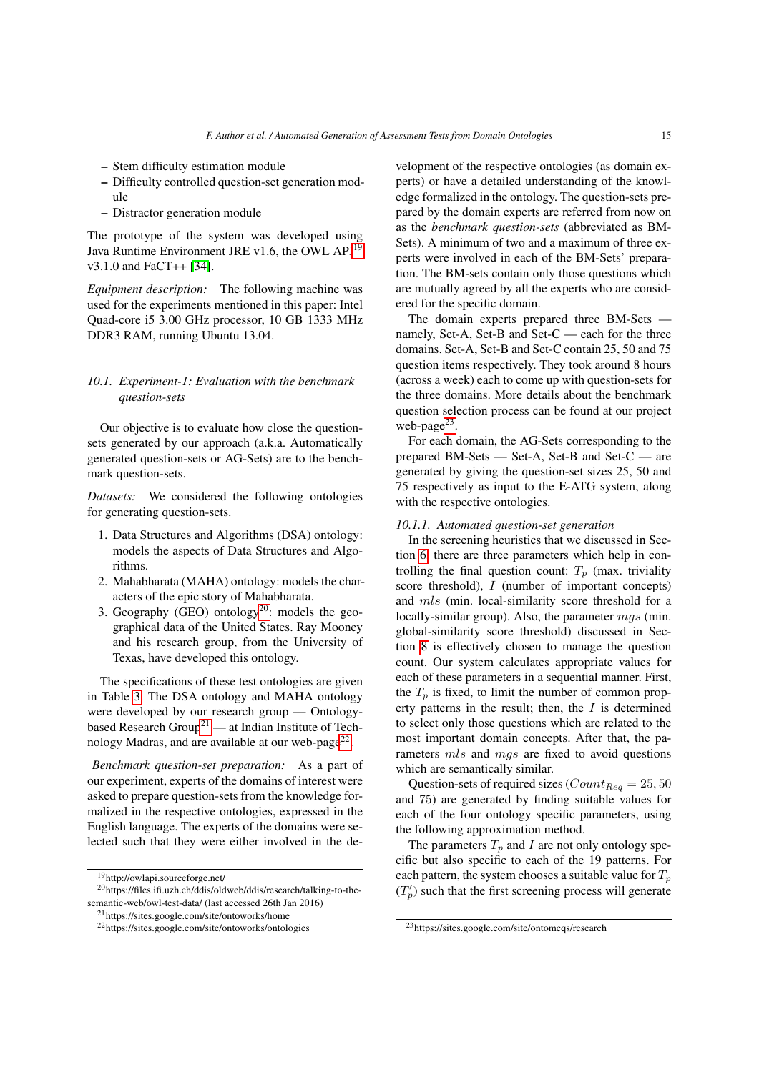- Stem difficulty estimation module
- Difficulty controlled question-set generation module
- Distractor generation module

The prototype of the system was developed using Java Runtime Environment JRE v1.6, the OWL API<sup>[19](#page-14-0)</sup> v3.1.0 and FaCT++ [\[34\]](#page-21-16).

*Equipment description:* The following machine was used for the experiments mentioned in this paper: Intel Quad-core i5 3.00 GHz processor, 10 GB 1333 MHz DDR3 RAM, running Ubuntu 13.04.

# *10.1. Experiment-1: Evaluation with the benchmark question-sets*

Our objective is to evaluate how close the questionsets generated by our approach (a.k.a. Automatically generated question-sets or AG-Sets) are to the benchmark question-sets.

*Datasets:* We considered the following ontologies for generating question-sets.

- 1. Data Structures and Algorithms (DSA) ontology: models the aspects of Data Structures and Algorithms.
- 2. Mahabharata (MAHA) ontology: models the characters of the epic story of Mahabharata.
- 3. Geography (GEO) ontology<sup>[20](#page-14-1)</sup>: models the geographical data of the United States. Ray Mooney and his research group, from the University of Texas, have developed this ontology.

The specifications of these test ontologies are given in Table [3.](#page-7-2) The DSA ontology and MAHA ontology were developed by our research group — Ontology-based Research Group<sup>[21](#page-14-2)</sup> — at Indian Institute of Tech-nology Madras, and are available at our web-page<sup>[22](#page-14-3)</sup>.

*Benchmark question-set preparation:* As a part of our experiment, experts of the domains of interest were asked to prepare question-sets from the knowledge formalized in the respective ontologies, expressed in the English language. The experts of the domains were selected such that they were either involved in the development of the respective ontologies (as domain experts) or have a detailed understanding of the knowledge formalized in the ontology. The question-sets prepared by the domain experts are referred from now on as the *benchmark question-sets* (abbreviated as BM-Sets). A minimum of two and a maximum of three experts were involved in each of the BM-Sets' preparation. The BM-sets contain only those questions which are mutually agreed by all the experts who are considered for the specific domain.

The domain experts prepared three BM-Sets namely, Set-A, Set-B and Set-C — each for the three domains. Set-A, Set-B and Set-C contain 25, 50 and 75 question items respectively. They took around 8 hours (across a week) each to come up with question-sets for the three domains. More details about the benchmark question selection process can be found at our project web-page<sup>[23](#page-14-4)</sup>.

For each domain, the AG-Sets corresponding to the prepared BM-Sets — Set-A, Set-B and Set-C — are generated by giving the question-set sizes 25, 50 and 75 respectively as input to the E-ATG system, along with the respective ontologies.

# *10.1.1. Automated question-set generation*

In the screening heuristics that we discussed in Section [6,](#page-9-0) there are three parameters which help in controlling the final question count:  $T_p$  (max. triviality score threshold), I (number of important concepts) and mls (min. local-similarity score threshold for a locally-similar group). Also, the parameter  $mgs$  (min. global-similarity score threshold) discussed in Section [8](#page-12-0) is effectively chosen to manage the question count. Our system calculates appropriate values for each of these parameters in a sequential manner. First, the  $T_p$  is fixed, to limit the number of common property patterns in the result; then, the  $I$  is determined to select only those questions which are related to the most important domain concepts. After that, the parameters mls and mgs are fixed to avoid questions which are semantically similar.

Question-sets of required sizes ( $Count_{Reg} = 25, 50$ and 75) are generated by finding suitable values for each of the four ontology specific parameters, using the following approximation method.

The parameters  $T_p$  and I are not only ontology specific but also specific to each of the 19 patterns. For each pattern, the system chooses a suitable value for  $T_p$  $(T_p')$  such that the first screening process will generate

<span id="page-14-1"></span><span id="page-14-0"></span><sup>19</sup>http://owlapi.sourceforge.net/

<sup>20</sup>https://files.ifi.uzh.ch/ddis/oldweb/ddis/research/talking-to-thesemantic-web/owl-test-data/ (last accessed 26th Jan 2016)

<span id="page-14-2"></span><sup>21</sup>https://sites.google.com/site/ontoworks/home

<span id="page-14-3"></span><sup>22</sup>https://sites.google.com/site/ontoworks/ontologies

<span id="page-14-4"></span><sup>23</sup>https://sites.google.com/site/ontomcqs/research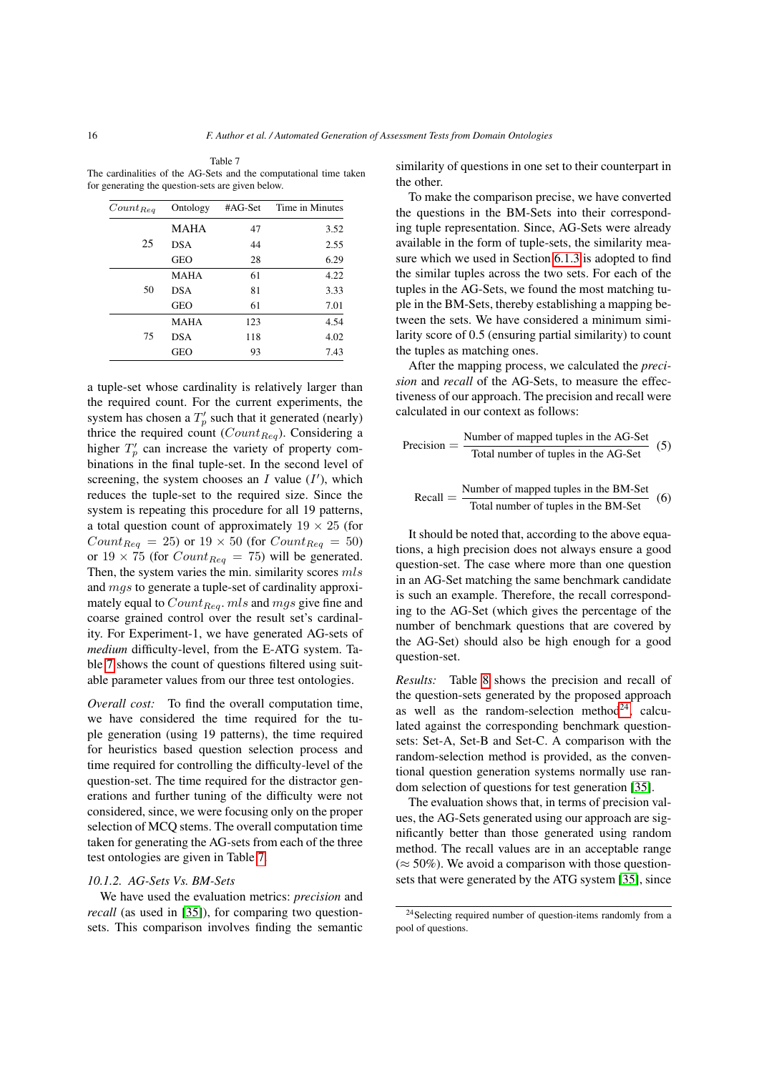<span id="page-15-0"></span>

| Table 7                                                           |
|-------------------------------------------------------------------|
| The cardinalities of the AG-Sets and the computational time taken |
| for generating the question-sets are given below.                 |

| Ontology    | #AG-Set | Time in Minutes |
|-------------|---------|-----------------|
| <b>MAHA</b> | 47      | 3.52            |
| <b>DSA</b>  | 44      | 2.55            |
| <b>GEO</b>  | 28      | 6.29            |
| <b>MAHA</b> | 61      | 4.22            |
| <b>DSA</b>  | 81      | 3.33            |
| <b>GEO</b>  | 61      | 7.01            |
| <b>MAHA</b> | 123     | 4.54            |
| <b>DSA</b>  | 118     | 4.02            |
| <b>GEO</b>  | 93      | 7.43            |
|             |         |                 |

a tuple-set whose cardinality is relatively larger than the required count. For the current experiments, the system has chosen a  $T_p'$  such that it generated (nearly) thrice the required count ( $Count_{Reg}$ ). Considering a higher  $T_p'$  can increase the variety of property combinations in the final tuple-set. In the second level of screening, the system chooses an  $I$  value  $(I')$ , which reduces the tuple-set to the required size. Since the system is repeating this procedure for all 19 patterns, a total question count of approximately  $19 \times 25$  (for  $Count_{Req} = 25$  or  $19 \times 50$  (for  $Count_{Req} = 50$ ) or  $19 \times 75$  (for  $Count_{Req} = 75$ ) will be generated. Then, the system varies the min. similarity scores  $mls$ and mgs to generate a tuple-set of cardinality approximately equal to  $Count_{Req}$ . mls and mgs give fine and coarse grained control over the result set's cardinality. For Experiment-1, we have generated AG-sets of *medium* difficulty-level, from the E-ATG system. Table [7](#page-15-0) shows the count of questions filtered using suitable parameter values from our three test ontologies.

*Overall cost:* To find the overall computation time, we have considered the time required for the tuple generation (using 19 patterns), the time required for heuristics based question selection process and time required for controlling the difficulty-level of the question-set. The time required for the distractor generations and further tuning of the difficulty were not considered, since, we were focusing only on the proper selection of MCQ stems. The overall computation time taken for generating the AG-sets from each of the three test ontologies are given in Table [7.](#page-15-0)

#### *10.1.2. AG-Sets Vs. BM-Sets*

We have used the evaluation metrics: *precision* and *recall* (as used in [\[35\]](#page-21-5)), for comparing two questionsets. This comparison involves finding the semantic similarity of questions in one set to their counterpart in the other.

To make the comparison precise, we have converted the questions in the BM-Sets into their corresponding tuple representation. Since, AG-Sets were already available in the form of tuple-sets, the similarity measure which we used in Section [6.1.3](#page-10-5) is adopted to find the similar tuples across the two sets. For each of the tuples in the AG-Sets, we found the most matching tuple in the BM-Sets, thereby establishing a mapping between the sets. We have considered a minimum similarity score of 0.5 (ensuring partial similarity) to count the tuples as matching ones.

After the mapping process, we calculated the *precision* and *recall* of the AG-Sets, to measure the effectiveness of our approach. The precision and recall were calculated in our context as follows:

$$
Precision = \frac{Number of mapped tuples in the AG-Set}{Total number of tuples in the AG-Set}
$$
 (5)

$$
Recall = \frac{Number of mapped tuples in the BM-Set}{Total number of tuples in the BM-Set}
$$
 (6)

It should be noted that, according to the above equations, a high precision does not always ensure a good question-set. The case where more than one question in an AG-Set matching the same benchmark candidate is such an example. Therefore, the recall corresponding to the AG-Set (which gives the percentage of the number of benchmark questions that are covered by the AG-Set) should also be high enough for a good question-set.

*Results:* Table [8](#page-16-1) shows the precision and recall of the question-sets generated by the proposed approach as well as the random-selection method<sup>[24](#page-15-1)</sup>, calculated against the corresponding benchmark questionsets: Set-A, Set-B and Set-C. A comparison with the random-selection method is provided, as the conventional question generation systems normally use random selection of questions for test generation [\[35\]](#page-21-5).

The evaluation shows that, in terms of precision values, the AG-Sets generated using our approach are significantly better than those generated using random method. The recall values are in an acceptable range  $(\approx 50\%)$ . We avoid a comparison with those questionsets that were generated by the ATG system [\[35\]](#page-21-5), since

<span id="page-15-1"></span><sup>24</sup>Selecting required number of question-items randomly from a pool of questions.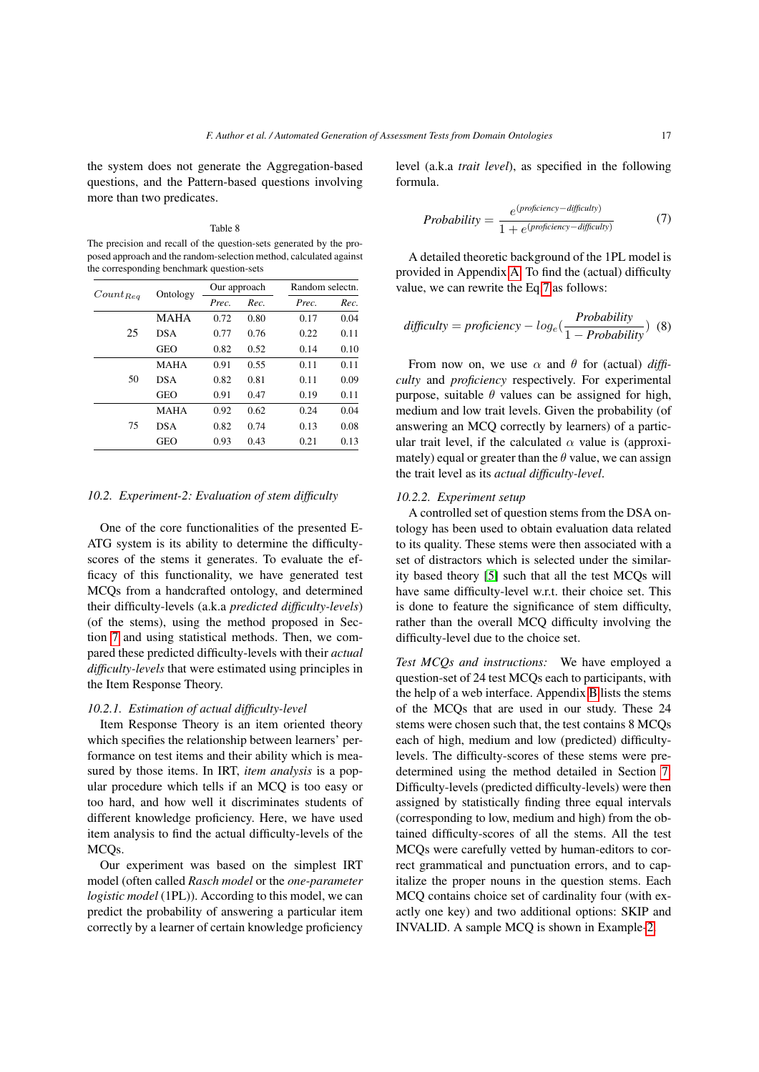the system does not generate the Aggregation-based questions, and the Pattern-based questions involving more than two predicates.

#### Table 8

<span id="page-16-1"></span>The precision and recall of the question-sets generated by the proposed approach and the random-selection method, calculated against the corresponding benchmark question-sets

| $Count_{Req}$ | Ontology    | Our approach |      | Random selectn. |      |
|---------------|-------------|--------------|------|-----------------|------|
|               |             | Prec.        | Rec. | Prec.           | Rec. |
| 25            | <b>MAHA</b> | 0.72         | 0.80 | 0.17            | 0.04 |
|               | <b>DSA</b>  | 0.77         | 0.76 | 0.22            | 0.11 |
|               | <b>GEO</b>  | 0.82         | 0.52 | 0.14            | 0.10 |
| 50            | <b>MAHA</b> | 0.91         | 0.55 | 0.11            | 0.11 |
|               | <b>DSA</b>  | 0.82         | 0.81 | 0.11            | 0.09 |
|               | <b>GEO</b>  | 0.91         | 0.47 | 0.19            | 0.11 |
| 75            | <b>MAHA</b> | 0.92         | 0.62 | 0.24            | 0.04 |
|               | <b>DSA</b>  | 0.82         | 0.74 | 0.13            | 0.08 |
|               | <b>GEO</b>  | 0.93         | 0.43 | 0.21            | 0.13 |

#### <span id="page-16-0"></span>*10.2. Experiment-2: Evaluation of stem difficulty*

One of the core functionalities of the presented E-ATG system is its ability to determine the difficultyscores of the stems it generates. To evaluate the efficacy of this functionality, we have generated test MCQs from a handcrafted ontology, and determined their difficulty-levels (a.k.a *predicted difficulty-levels*) (of the stems), using the method proposed in Section [7](#page-11-0) and using statistical methods. Then, we compared these predicted difficulty-levels with their *actual difficulty-levels* that were estimated using principles in the Item Response Theory.

# *10.2.1. Estimation of actual difficulty-level*

Item Response Theory is an item oriented theory which specifies the relationship between learners' performance on test items and their ability which is measured by those items. In IRT, *item analysis* is a popular procedure which tells if an MCQ is too easy or too hard, and how well it discriminates students of different knowledge proficiency. Here, we have used item analysis to find the actual difficulty-levels of the MCQs.

Our experiment was based on the simplest IRT model (often called *Rasch model* or the *one-parameter logistic model* (1PL)). According to this model, we can predict the probability of answering a particular item correctly by a learner of certain knowledge proficiency level (a.k.a *trait level*), as specified in the following formula.

<span id="page-16-4"></span><span id="page-16-2"></span>Probability = 
$$
\frac{e^{(projection \times -diffically)}}{1 + e^{(projection \times -diffically)}} \tag{7}
$$

A detailed theoretic background of the 1PL model is provided in Appendix [A.](#page-21-8) To find the (actual) difficulty value, we can rewrite the Eq[.7](#page-16-2) as follows:

$$
difficulty = proficiency - log_e(\frac{Probability}{1 - Probability})
$$
 (8)

From now on, we use  $\alpha$  and  $\theta$  for (actual) *difficulty* and *proficiency* respectively. For experimental purpose, suitable  $\theta$  values can be assigned for high, medium and low trait levels. Given the probability (of answering an MCQ correctly by learners) of a particular trait level, if the calculated  $\alpha$  value is (approximately) equal or greater than the  $\theta$  value, we can assign the trait level as its *actual difficulty-level*.

# *10.2.2. Experiment setup*

A controlled set of question stems from the DSA ontology has been used to obtain evaluation data related to its quality. These stems were then associated with a set of distractors which is selected under the similarity based theory [\[5\]](#page-20-11) such that all the test MCQs will have same difficulty-level w.r.t. their choice set. This is done to feature the significance of stem difficulty, rather than the overall MCQ difficulty involving the difficulty-level due to the choice set.

<span id="page-16-3"></span>*Test MCQs and instructions:* We have employed a question-set of 24 test MCQs each to participants, with the help of a web interface. Appendix [B](#page-22-0) lists the stems of the MCQs that are used in our study. These 24 stems were chosen such that, the test contains 8 MCQs each of high, medium and low (predicted) difficultylevels. The difficulty-scores of these stems were predetermined using the method detailed in Section [7.](#page-11-0) Difficulty-levels (predicted difficulty-levels) were then assigned by statistically finding three equal intervals (corresponding to low, medium and high) from the obtained difficulty-scores of all the stems. All the test MCQs were carefully vetted by human-editors to correct grammatical and punctuation errors, and to capitalize the proper nouns in the question stems. Each MCQ contains choice set of cardinality four (with exactly one key) and two additional options: SKIP and INVALID. A sample MCQ is shown in Example[-2.](#page-16-3)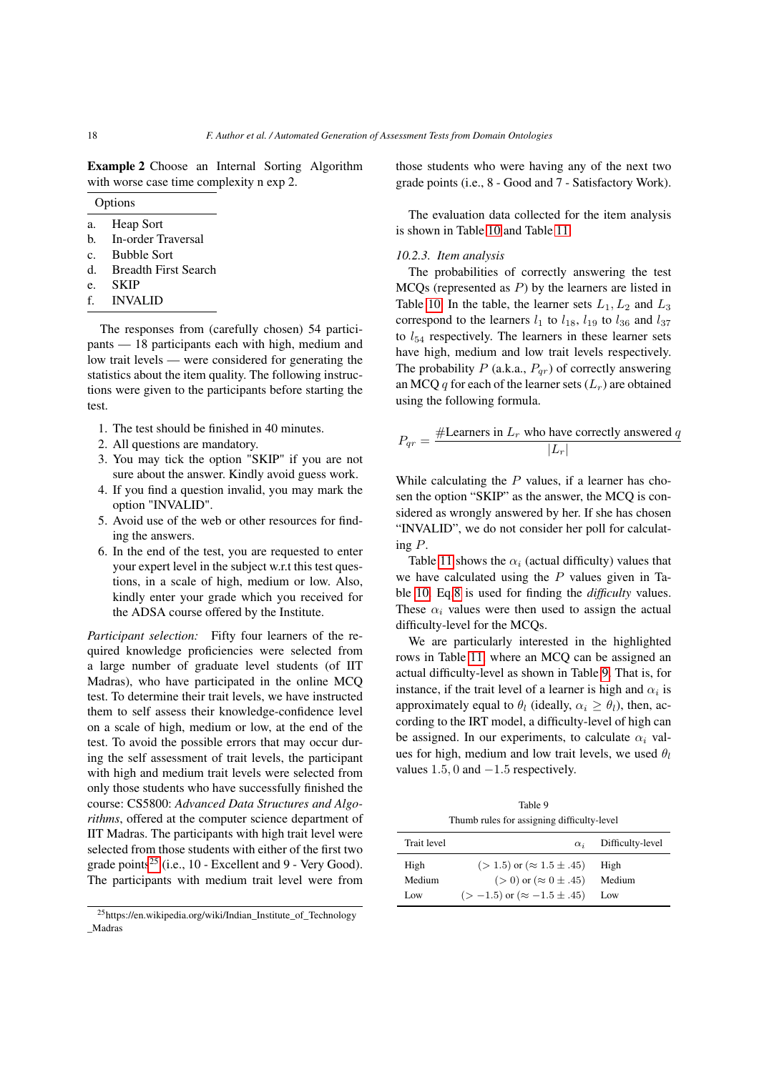Example 2 Choose an Internal Sorting Algorithm with worse case time complexity n exp 2.

|                | Options                     |
|----------------|-----------------------------|
| a.             | Heap Sort                   |
| h.             | In-order Traversal          |
| $\mathbf{c}$ . | <b>Bubble Sort</b>          |
| d.             | <b>Breadth First Search</b> |
| e.             | SKIP                        |

- f. INVALID
- 

The responses from (carefully chosen) 54 participants — 18 participants each with high, medium and low trait levels — were considered for generating the statistics about the item quality. The following instructions were given to the participants before starting the test.

- 1. The test should be finished in 40 minutes.
- 2. All questions are mandatory.
- 3. You may tick the option "SKIP" if you are not sure about the answer. Kindly avoid guess work.
- 4. If you find a question invalid, you may mark the option "INVALID".
- 5. Avoid use of the web or other resources for finding the answers.
- 6. In the end of the test, you are requested to enter your expert level in the subject w.r.t this test questions, in a scale of high, medium or low. Also, kindly enter your grade which you received for the ADSA course offered by the Institute.

*Participant selection:* Fifty four learners of the required knowledge proficiencies were selected from a large number of graduate level students (of IIT Madras), who have participated in the online MCQ test. To determine their trait levels, we have instructed them to self assess their knowledge-confidence level on a scale of high, medium or low, at the end of the test. To avoid the possible errors that may occur during the self assessment of trait levels, the participant with high and medium trait levels were selected from only those students who have successfully finished the course: CS5800: *Advanced Data Structures and Algorithms*, offered at the computer science department of IIT Madras. The participants with high trait level were selected from those students with either of the first two grade points<sup>[25](#page-17-0)</sup> (i.e., 10 - Excellent and 9 - Very Good). The participants with medium trait level were from those students who were having any of the next two grade points (i.e., 8 - Good and 7 - Satisfactory Work).

The evaluation data collected for the item analysis is shown in Table [10](#page-18-0) and Table [11.](#page-19-0)

# *10.2.3. Item analysis*

The probabilities of correctly answering the test  $MCOs$  (represented as  $P$ ) by the learners are listed in Table [10.](#page-18-0) In the table, the learner sets  $L_1, L_2$  and  $L_3$ correspond to the learners  $l_1$  to  $l_{18}$ ,  $l_{19}$  to  $l_{36}$  and  $l_{37}$ to  $l_{54}$  respectively. The learners in these learner sets have high, medium and low trait levels respectively. The probability  $P$  (a.k.a.,  $P_{qr}$ ) of correctly answering an MCQ q for each of the learner sets  $(L_r)$  are obtained using the following formula.

$$
P_{qr} = \frac{\text{\#Learners in } L_r \text{ who have correctly answered } q}{|L_r|}
$$

While calculating the  $P$  values, if a learner has chosen the option "SKIP" as the answer, the MCQ is considered as wrongly answered by her. If she has chosen "INVALID", we do not consider her poll for calculating P.

Table [11](#page-19-0) shows the  $\alpha_i$  (actual difficulty) values that we have calculated using the  $P$  values given in Table [10.](#page-18-0) Eq[.8](#page-16-4) is used for finding the *difficulty* values. These  $\alpha_i$  values were then used to assign the actual difficulty-level for the MCQs.

We are particularly interested in the highlighted rows in Table [11,](#page-19-0) where an MCQ can be assigned an actual difficulty-level as shown in Table [9.](#page-17-1) That is, for instance, if the trait level of a learner is high and  $\alpha_i$  is approximately equal to  $\theta_l$  (ideally,  $\alpha_i > \theta_l$ ), then, according to the IRT model, a difficulty-level of high can be assigned. In our experiments, to calculate  $\alpha_i$  values for high, medium and low trait levels, we used  $\theta_l$ values  $1.5, 0$  and  $-1.5$  respectively.

Table 9 Thumb rules for assigning difficulty-level

<span id="page-17-1"></span>

| $\alpha_i$                            | Difficulty-level |
|---------------------------------------|------------------|
| $(>1.5)$ or $(~\approx 1.5 \pm .45)$  | High             |
| $(>0)$ or $(\approx 0 \pm .45)$       | Medium           |
| $(>-1.5)$ or $(\approx -1.5 \pm .45)$ | Low              |
|                                       |                  |

<span id="page-17-0"></span><sup>25</sup>https://en.wikipedia.org/wiki/Indian\_Institute\_of\_Technology \_Madras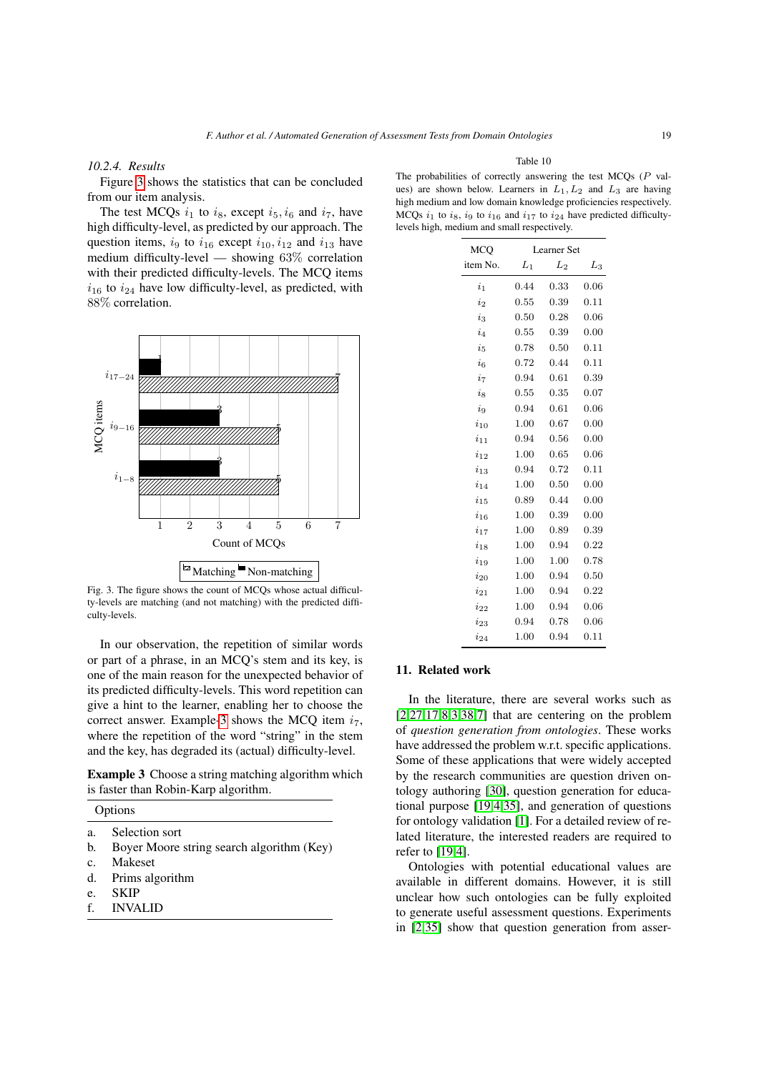# *10.2.4. Results*

Figure [3](#page-18-1) shows the statistics that can be concluded from our item analysis.

The test MCQs  $i_1$  to  $i_8$ , except  $i_5$ ,  $i_6$  and  $i_7$ , have high difficulty-level, as predicted by our approach. The question items,  $i_9$  to  $i_{16}$  except  $i_{10}$ ,  $i_{12}$  and  $i_{13}$  have medium difficulty-level — showing 63% correlation with their predicted difficulty-levels. The MCQ items  $i_{16}$  to  $i_{24}$  have low difficulty-level, as predicted, with 88% correlation.

<span id="page-18-1"></span>

Fig. 3. The figure shows the count of MCQs whose actual difficulty-levels are matching (and not matching) with the predicted difficulty-levels.

In our observation, the repetition of similar words or part of a phrase, in an MCQ's stem and its key, is one of the main reason for the unexpected behavior of its predicted difficulty-levels. This word repetition can give a hint to the learner, enabling her to choose the correct answer. Example[-3](#page-18-2) shows the MCQ item  $i_7$ , where the repetition of the word "string" in the stem and the key, has degraded its (actual) difficulty-level.

<span id="page-18-2"></span>Example 3 Choose a string matching algorithm which is faster than Robin-Karp algorithm.

| muons |  |
|-------|--|
|       |  |
|       |  |

- a. Selection sort
- b. Boyer Moore string search algorithm (Key)
- c. Makeset
- d. Prims algorithm
- e. SKIP
- f. INVALID

Table 10

<span id="page-18-0"></span>The probabilities of correctly answering the test MCQs (P values) are shown below. Learners in  $L_1, L_2$  and  $L_3$  are having high medium and low domain knowledge proficiencies respectively. MCQs  $i_1$  to  $i_8$ ,  $i_9$  to  $i_{16}$  and  $i_{17}$  to  $i_{24}$  have predicted difficultylevels high, medium and small respectively.

| <b>MCQ</b>             | <b>Learner</b> Set |      |       |  |
|------------------------|--------------------|------|-------|--|
| item No.               | $L_1$              | L2   | $L_3$ |  |
| $\dot{i}_1$            | 0.44               | 0.33 | 0.06  |  |
| $\dot{i}$ <sub>2</sub> | 0.55               | 0.39 | 0.11  |  |
| $i_{3}$                | 0.50               | 0.28 | 0.06  |  |
| $i_4$                  | 0.55               | 0.39 | 0.00  |  |
| $i_{5}$                | 0.78               | 0.50 | 0.11  |  |
| $i_{6}$                | 0.72               | 0.44 | 0.11  |  |
| $i_7$                  | 0.94               | 0.61 | 0.39  |  |
| $i_{8}$                | 0.55               | 0.35 | 0.07  |  |
| $\dot{i}_9$            | 0.94               | 0.61 | 0.06  |  |
| $i_{10}$               | 1.00               | 0.67 | 0.00  |  |
| $i_{11}$               | 0.94               | 0.56 | 0.00  |  |
| $i_{12}$               | 1.00               | 0.65 | 0.06  |  |
| $i_{13}$               | 0.94               | 0.72 | 0.11  |  |
| $i_{14}$               | 1.00               | 0.50 | 0.00  |  |
| $i_{15}$               | 0.89               | 0.44 | 0.00  |  |
| $i_{16}$               | 1.00               | 0.39 | 0.00  |  |
| $i_{17}$               | 1.00               | 0.89 | 0.39  |  |
| $i_{18}$               | 1.00               | 0.94 | 0.22  |  |
| $i_{19}$               | 1.00               | 1.00 | 0.78  |  |
| $i_{20}$               | 1.00               | 0.94 | 0.50  |  |
| $i_{21}$               | 1.00               | 0.94 | 0.22  |  |
| $i_{22}$               | 1.00               | 0.94 | 0.06  |  |
| $i_{23}$               | 0.94               | 0.78 | 0.06  |  |
| $i_{24}$               | 1.00               | 0.94 | 0.11  |  |

#### 11. Related work

In the literature, there are several works such as  $[2,27,17,8,3,38,7]$  $[2,27,17,8,3,38,7]$  $[2,27,17,8,3,38,7]$  $[2,27,17,8,3,38,7]$  $[2,27,17,8,3,38,7]$  $[2,27,17,8,3,38,7]$  $[2,27,17,8,3,38,7]$  that are centering on the problem of *question generation from ontologies*. These works have addressed the problem w.r.t. specific applications. Some of these applications that were widely accepted by the research communities are question driven ontology authoring [\[30\]](#page-21-17), question generation for educational purpose [\[19](#page-21-9)[,4](#page-20-15)[,35\]](#page-21-5), and generation of questions for ontology validation [\[1\]](#page-20-9). For a detailed review of related literature, the interested readers are required to refer to [\[19](#page-21-9)[,4\]](#page-20-15).

Ontologies with potential educational values are available in different domains. However, it is still unclear how such ontologies can be fully exploited to generate useful assessment questions. Experiments in [\[2,](#page-20-7)[35\]](#page-21-5) show that question generation from asser-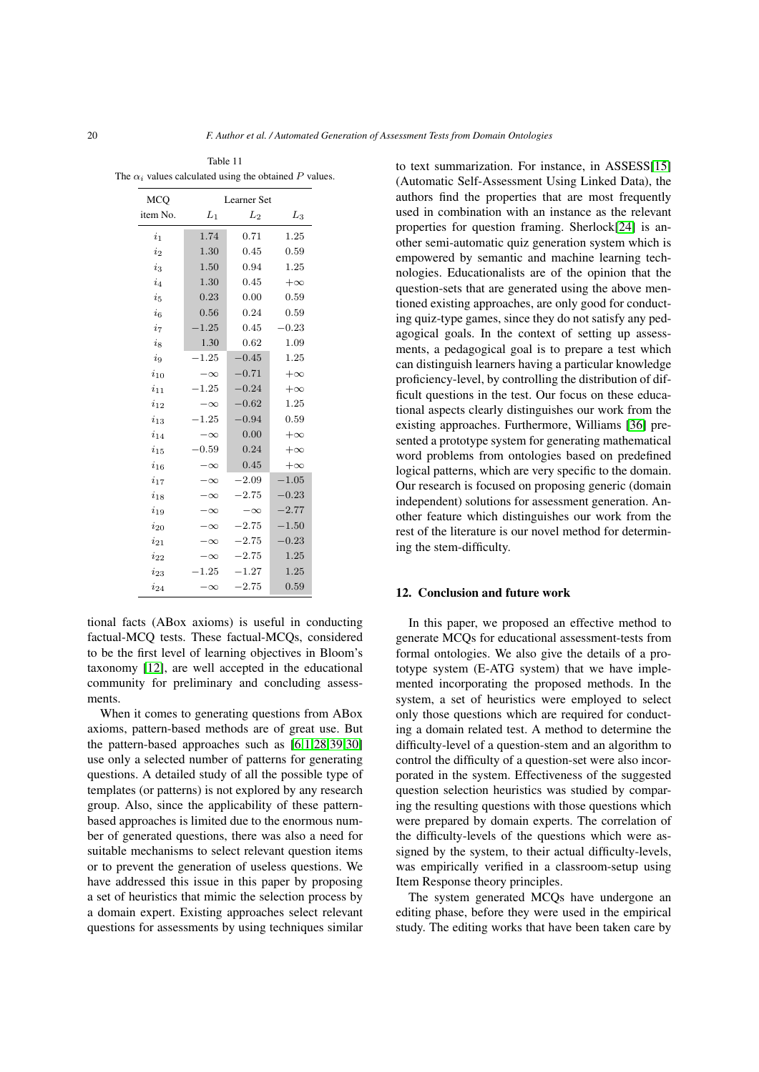<span id="page-19-0"></span>

| The $\alpha_i$ values calculated using the obtained P values. |             |           |           |
|---------------------------------------------------------------|-------------|-----------|-----------|
| MCO                                                           | Learner Set |           |           |
| item No.                                                      | $L_1$       | $L_2$     | $L_3$     |
| $i_{1}$                                                       | 1.74        | 0.71      | 1.25      |
| $i_{2}$                                                       | 1.30        | 0.45      | 0.59      |
| $i_3$                                                         | 1.50        | 0.94      | 1.25      |
| $i_4$                                                         | 1.30        | 0.45      | $+\infty$ |
| $i_{5}$                                                       | 0.23        | 0.00      | 0.59      |
| $i_{6}$                                                       | 0.56        | 0.24      | 0.59      |
| i <sub>7</sub>                                                | $-1.25$     | 0.45      | $-0.23$   |
| $i_{8}$                                                       | 1.30        | 0.62      | 1.09      |
| $i_{9}$                                                       | $-1.25$     | $-0.45$   | 1.25      |
| $i_{10}$                                                      | $-\infty$   | $-0.71$   | $+\infty$ |
| $i_{11}$                                                      | $-1.25$     | $-0.24$   | $+\infty$ |
| $i_{12}$                                                      | $-\infty$   | $-0.62$   | 1.25      |
| $i_{13}$                                                      | $-1.25$     | $-0.94$   | 0.59      |
| $i_{14}$                                                      | $-\infty$   | 0.00      | $+\infty$ |
| $i_{15}$                                                      | $-0.59$     | 0.24      | $+\infty$ |
| $i_{\rm 16}$                                                  | $-\infty$   | 0.45      | $+\infty$ |
| $i_{17}$                                                      | $-\infty$   | $-2.09$   | $-1.05$   |
| $i_{18}$                                                      | $-\infty$   | $-2.75$   | $-0.23$   |
| $i_{19}$                                                      | $-\infty$   | $-\infty$ | $-2.77$   |
| $i_{20}$                                                      | $-\infty$   | $-2.75$   | $-1.50$   |
| $i_{21}$                                                      | $-\infty$   | $-2.75$   | $-0.23$   |
| $i_{22}$                                                      | $-\infty$   | $-2.75$   | 1.25      |
| $i_{23}$                                                      | $-1.25$     | $-1.27$   | 1.25      |
| $i_{24}$                                                      | $-\infty$   | $-2.75$   | 0.59      |

Table 11

tional facts (ABox axioms) is useful in conducting factual-MCQ tests. These factual-MCQs, considered to be the first level of learning objectives in Bloom's taxonomy [\[12\]](#page-20-8), are well accepted in the educational community for preliminary and concluding assessments.

When it comes to generating questions from ABox axioms, pattern-based methods are of great use. But the pattern-based approaches such as [\[6,](#page-20-3)[1,](#page-20-9)[28](#page-21-18)[,39](#page-21-19)[,30\]](#page-21-17) use only a selected number of patterns for generating questions. A detailed study of all the possible type of templates (or patterns) is not explored by any research group. Also, since the applicability of these patternbased approaches is limited due to the enormous number of generated questions, there was also a need for suitable mechanisms to select relevant question items or to prevent the generation of useless questions. We have addressed this issue in this paper by proposing a set of heuristics that mimic the selection process by a domain expert. Existing approaches select relevant questions for assessments by using techniques similar to text summarization. For instance, in ASSESS[\[15\]](#page-20-16) (Automatic Self-Assessment Using Linked Data), the authors find the properties that are most frequently used in combination with an instance as the relevant properties for question framing. Sherlock[\[24\]](#page-21-20) is another semi-automatic quiz generation system which is empowered by semantic and machine learning technologies. Educationalists are of the opinion that the question-sets that are generated using the above mentioned existing approaches, are only good for conducting quiz-type games, since they do not satisfy any pedagogical goals. In the context of setting up assessments, a pedagogical goal is to prepare a test which can distinguish learners having a particular knowledge proficiency-level, by controlling the distribution of difficult questions in the test. Our focus on these educational aspects clearly distinguishes our work from the existing approaches. Furthermore, Williams [\[36\]](#page-21-21) presented a prototype system for generating mathematical word problems from ontologies based on predefined logical patterns, which are very specific to the domain. Our research is focused on proposing generic (domain independent) solutions for assessment generation. Another feature which distinguishes our work from the rest of the literature is our novel method for determining the stem-difficulty.

## 12. Conclusion and future work

In this paper, we proposed an effective method to generate MCQs for educational assessment-tests from formal ontologies. We also give the details of a prototype system (E-ATG system) that we have implemented incorporating the proposed methods. In the system, a set of heuristics were employed to select only those questions which are required for conducting a domain related test. A method to determine the difficulty-level of a question-stem and an algorithm to control the difficulty of a question-set were also incorporated in the system. Effectiveness of the suggested question selection heuristics was studied by comparing the resulting questions with those questions which were prepared by domain experts. The correlation of the difficulty-levels of the questions which were assigned by the system, to their actual difficulty-levels, was empirically verified in a classroom-setup using Item Response theory principles.

The system generated MCQs have undergone an editing phase, before they were used in the empirical study. The editing works that have been taken care by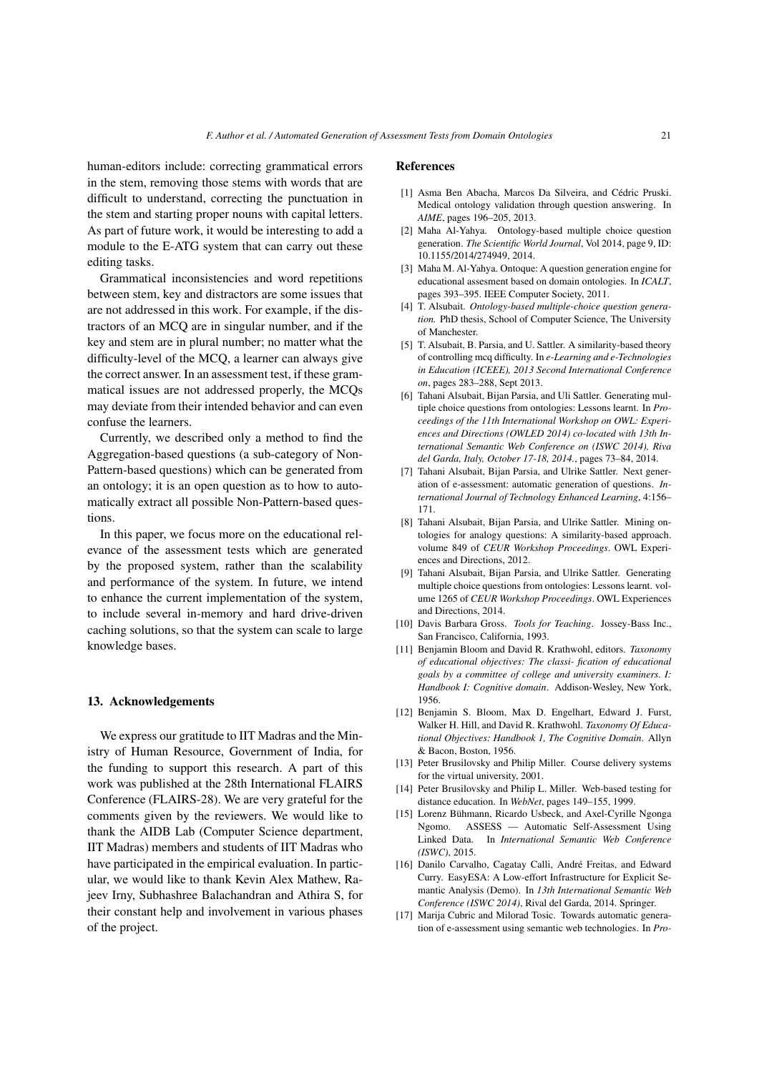human-editors include: correcting grammatical errors in the stem, removing those stems with words that are difficult to understand, correcting the punctuation in the stem and starting proper nouns with capital letters. As part of future work, it would be interesting to add a module to the E-ATG system that can carry out these editing tasks.

Grammatical inconsistencies and word repetitions between stem, key and distractors are some issues that are not addressed in this work. For example, if the distractors of an MCQ are in singular number, and if the key and stem are in plural number; no matter what the difficulty-level of the MCQ, a learner can always give the correct answer. In an assessment test, if these grammatical issues are not addressed properly, the MCQs may deviate from their intended behavior and can even confuse the learners.

Currently, we described only a method to find the Aggregation-based questions (a sub-category of Non-Pattern-based questions) which can be generated from an ontology; it is an open question as to how to automatically extract all possible Non-Pattern-based questions.

In this paper, we focus more on the educational relevance of the assessment tests which are generated by the proposed system, rather than the scalability and performance of the system. In future, we intend to enhance the current implementation of the system, to include several in-memory and hard drive-driven caching solutions, so that the system can scale to large knowledge bases.

## 13. Acknowledgements

We express our gratitude to IIT Madras and the Ministry of Human Resource, Government of India, for the funding to support this research. A part of this work was published at the 28th International FLAIRS Conference (FLAIRS-28). We are very grateful for the comments given by the reviewers. We would like to thank the AIDB Lab (Computer Science department, IIT Madras) members and students of IIT Madras who have participated in the empirical evaluation. In particular, we would like to thank Kevin Alex Mathew, Rajeev Irny, Subhashree Balachandran and Athira S, for their constant help and involvement in various phases of the project.

#### References

- <span id="page-20-9"></span>[1] Asma Ben Abacha, Marcos Da Silveira, and Cédric Pruski. Medical ontology validation through question answering. In *AIME*, pages 196–205, 2013.
- <span id="page-20-7"></span>[2] Maha Al-Yahya. Ontology-based multiple choice question generation. *The Scientific World Journal*, Vol 2014, page 9, ID: 10.1155/2014/274949, 2014.
- <span id="page-20-6"></span>[3] Maha M. Al-Yahya. Ontoque: A question generation engine for educational assesment based on domain ontologies. In *ICALT*, pages 393–395. IEEE Computer Society, 2011.
- <span id="page-20-15"></span>[4] T. Alsubait. *Ontology-based multiple-choice question generation.* PhD thesis, School of Computer Science, The University of Manchester.
- <span id="page-20-11"></span>[5] T. Alsubait, B. Parsia, and U. Sattler. A similarity-based theory of controlling mcq difficulty. In *e-Learning and e-Technologies in Education (ICEEE), 2013 Second International Conference on*, pages 283–288, Sept 2013.
- <span id="page-20-3"></span>[6] Tahani Alsubait, Bijan Parsia, and Uli Sattler. Generating multiple choice questions from ontologies: Lessons learnt. In *Proceedings of the 11th International Workshop on OWL: Experiences and Directions (OWLED 2014) co-located with 13th International Semantic Web Conference on (ISWC 2014), Riva del Garda, Italy, October 17-18, 2014.*, pages 73–84, 2014.
- <span id="page-20-14"></span>[7] Tahani Alsubait, Bijan Parsia, and Ulrike Sattler. Next generation of e-assessment: automatic generation of questions. *International Journal of Technology Enhanced Learning*, 4:156– 171.
- <span id="page-20-5"></span>[8] Tahani Alsubait, Bijan Parsia, and Ulrike Sattler. Mining ontologies for analogy questions: A similarity-based approach. volume 849 of *CEUR Workshop Proceedings*. OWL Experiences and Directions, 2012.
- <span id="page-20-12"></span>[9] Tahani Alsubait, Bijan Parsia, and Ulrike Sattler. Generating multiple choice questions from ontologies: Lessons learnt. volume 1265 of *CEUR Workshop Proceedings*. OWL Experiences and Directions, 2014.
- <span id="page-20-2"></span>[10] Davis Barbara Gross. *Tools for Teaching*. Jossey-Bass Inc., San Francisco, California, 1993.
- <span id="page-20-10"></span>[11] Benjamin Bloom and David R. Krathwohl, editors. *Taxonomy of educational objectives: The classi- fication of educational goals by a committee of college and university examiners. I: Handbook I: Cognitive domain*. Addison-Wesley, New York, 1956.
- <span id="page-20-8"></span>[12] Benjamin S. Bloom, Max D. Engelhart, Edward J. Furst, Walker H. Hill, and David R. Krathwohl. *Taxonomy Of Educational Objectives: Handbook 1, The Cognitive Domain*. Allyn & Bacon, Boston, 1956.
- <span id="page-20-1"></span>[13] Peter Brusilovsky and Philip Miller. Course delivery systems for the virtual university, 2001.
- <span id="page-20-0"></span>[14] Peter Brusilovsky and Philip L. Miller. Web-based testing for distance education. In *WebNet*, pages 149–155, 1999.
- <span id="page-20-16"></span>[15] Lorenz Bühmann, Ricardo Usbeck, and Axel-Cyrille Ngonga Ngomo. ASSESS — Automatic Self-Assessment Using Linked Data. In *International Semantic Web Conference (ISWC)*, 2015.
- <span id="page-20-13"></span>[16] Danilo Carvalho, Cagatay Calli, André Freitas, and Edward Curry. EasyESA: A Low-effort Infrastructure for Explicit Semantic Analysis (Demo). In *13th International Semantic Web Conference (ISWC 2014)*, Rival del Garda, 2014. Springer.
- <span id="page-20-4"></span>[17] Marija Cubric and Milorad Tosic. Towards automatic generation of e-assessment using semantic web technologies. In *Pro-*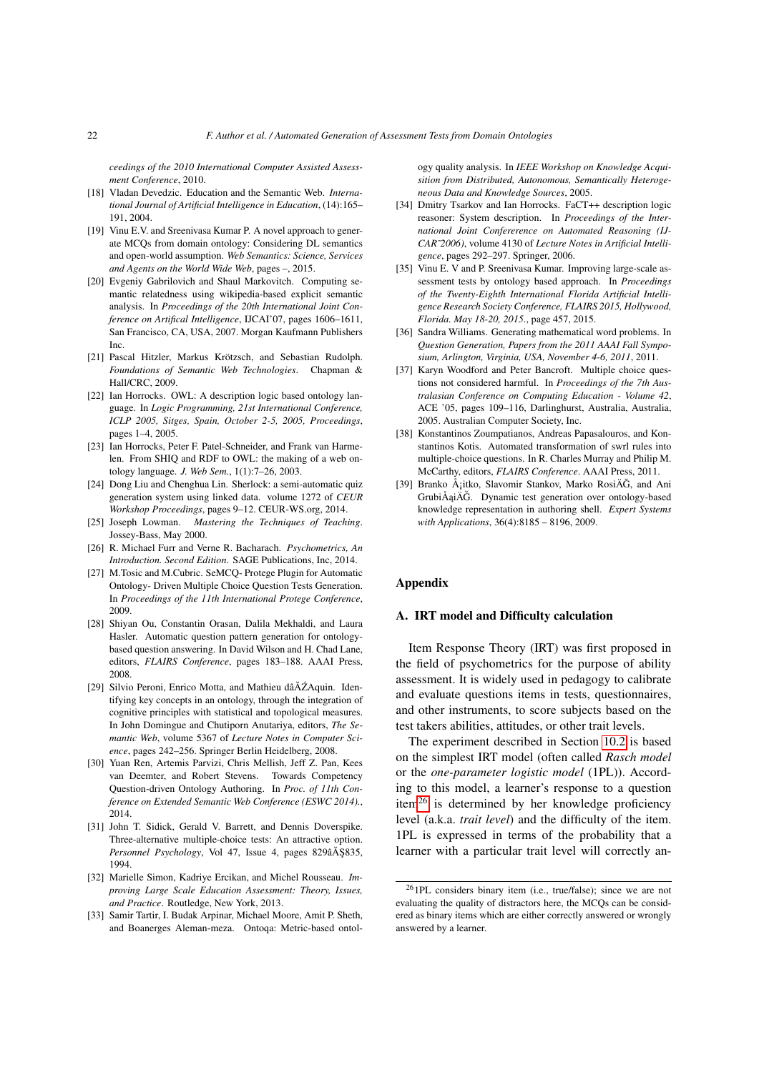*ceedings of the 2010 International Computer Assisted Assessment Conference*, 2010.

- <span id="page-21-3"></span>[18] Vladan Devedzic. Education and the Semantic Web. *International Journal of Artificial Intelligence in Education*, (14):165– 191, 2004.
- <span id="page-21-9"></span>[19] Vinu E.V. and Sreenivasa Kumar P. A novel approach to generate MCQs from domain ontology: Considering DL semantics and open-world assumption. *Web Semantics: Science, Services and Agents on the World Wide Web*, pages –, 2015.
- <span id="page-21-11"></span>[20] Evgeniy Gabrilovich and Shaul Markovitch. Computing semantic relatedness using wikipedia-based explicit semantic analysis. In *Proceedings of the 20th International Joint Conference on Artifical Intelligence*, IJCAI'07, pages 1606–1611, San Francisco, CA, USA, 2007. Morgan Kaufmann Publishers Inc.
- <span id="page-21-10"></span>[21] Pascal Hitzler, Markus Krötzsch, and Sebastian Rudolph. *Foundations of Semantic Web Technologies*. Chapman & Hall/CRC, 2009.
- <span id="page-21-1"></span>[22] Ian Horrocks. OWL: A description logic based ontology language. In *Logic Programming, 21st International Conference, ICLP 2005, Sitges, Spain, October 2-5, 2005, Proceedings*, pages 1–4, 2005.
- <span id="page-21-0"></span>[23] Ian Horrocks, Peter F. Patel-Schneider, and Frank van Harmelen. From SHIQ and RDF to OWL: the making of a web ontology language. *J. Web Sem.*, 1(1):7–26, 2003.
- <span id="page-21-20"></span>[24] Dong Liu and Chenghua Lin. Sherlock: a semi-automatic quiz generation system using linked data. volume 1272 of *CEUR Workshop Proceedings*, pages 9–12. CEUR-WS.org, 2014.
- <span id="page-21-14"></span>[25] Joseph Lowman. *Mastering the Techniques of Teaching*. Jossey-Bass, May 2000.
- <span id="page-21-23"></span>[26] R. Michael Furr and Verne R. Bacharach. *Psychometrics, An Introduction. Second Edition*. SAGE Publications, Inc, 2014.
- <span id="page-21-6"></span>[27] M.Tosic and M.Cubric. SeMCQ- Protege Plugin for Automatic Ontology- Driven Multiple Choice Question Tests Generation. In *Proceedings of the 11th International Protege Conference*, 2009.
- <span id="page-21-18"></span>[28] Shiyan Ou, Constantin Orasan, Dalila Mekhaldi, and Laura Hasler. Automatic question pattern generation for ontologybased question answering. In David Wilson and H. Chad Lane, editors, *FLAIRS Conference*, pages 183–188. AAAI Press, 2008.
- <span id="page-21-12"></span>[29] Silvio Peroni, Enrico Motta, and Mathieu dâĂŹAquin. Identifying key concepts in an ontology, through the integration of cognitive principles with statistical and topological measures. In John Domingue and Chutiporn Anutariya, editors, *The Semantic Web*, volume 5367 of *Lecture Notes in Computer Science*, pages 242–256. Springer Berlin Heidelberg, 2008.
- <span id="page-21-17"></span>[30] Yuan Ren, Artemis Parvizi, Chris Mellish, Jeff Z. Pan, Kees van Deemter, and Robert Stevens. Towards Competency Question-driven Ontology Authoring. In *Proc. of 11th Conference on Extended Semantic Web Conference (ESWC 2014).*, 2014.
- <span id="page-21-2"></span>[31] John T. Sidick, Gerald V. Barrett, and Dennis Doverspike. Three-alternative multiple-choice tests: An attractive option. *Personnel Psychology*, Vol 47, Issue 4, pages 829âÅ Ş835, 1994.
- <span id="page-21-4"></span>[32] Marielle Simon, Kadriye Ercikan, and Michel Rousseau. *Improving Large Scale Education Assessment: Theory, Issues, and Practice*. Routledge, New York, 2013.
- <span id="page-21-13"></span>[33] Samir Tartir, I. Budak Arpinar, Michael Moore, Amit P. Sheth, and Boanerges Aleman-meza. Ontoqa: Metric-based ontol-

ogy quality analysis. In *IEEE Workshop on Knowledge Acquisition from Distributed, Autonomous, Semantically Heterogeneous Data and Knowledge Sources*, 2005.

- <span id="page-21-16"></span>[34] Dmitry Tsarkov and Ian Horrocks. FaCT++ description logic reasoner: System description. In *Proceedings of the International Joint Confererence on Automated Reasoning (IJ-CAR˜2006)*, volume 4130 of *Lecture Notes in Artificial Intelligence*, pages 292–297. Springer, 2006.
- <span id="page-21-5"></span>[35] Vinu E. V and P. Sreenivasa Kumar. Improving large-scale assessment tests by ontology based approach. In *Proceedings of the Twenty-Eighth International Florida Artificial Intelligence Research Society Conference, FLAIRS 2015, Hollywood, Florida. May 18-20, 2015.*, page 457, 2015.
- <span id="page-21-21"></span>[36] Sandra Williams. Generating mathematical word problems. In *Question Generation, Papers from the 2011 AAAI Fall Symposium, Arlington, Virginia, USA, November 4-6, 2011*, 2011.
- <span id="page-21-15"></span>[37] Karyn Woodford and Peter Bancroft. Multiple choice questions not considered harmful. In *Proceedings of the 7th Australasian Conference on Computing Education - Volume 42*, ACE '05, pages 109–116, Darlinghurst, Australia, Australia, 2005. Australian Computer Society, Inc.
- <span id="page-21-7"></span>[38] Konstantinos Zoumpatianos, Andreas Papasalouros, and Konstantinos Kotis. Automated transformation of swrl rules into multiple-choice questions. In R. Charles Murray and Philip M. McCarthy, editors, *FLAIRS Conference*. AAAI Press, 2011.
- <span id="page-21-19"></span>[39] Branko Å<sub>l</sub>itko, Slavomir Stankov, Marko RosiÄG, and Ani GrubiÅaiÄĞ. Dynamic test generation over ontology-based knowledge representation in authoring shell. *Expert Systems with Applications*, 36(4):8185 – 8196, 2009.

# Appendix

## <span id="page-21-8"></span>A. IRT model and Difficulty calculation

Item Response Theory (IRT) was first proposed in the field of psychometrics for the purpose of ability assessment. It is widely used in pedagogy to calibrate and evaluate questions items in tests, questionnaires, and other instruments, to score subjects based on the test takers abilities, attitudes, or other trait levels.

The experiment described in Section [10.2](#page-16-0) is based on the simplest IRT model (often called *Rasch model* or the *one-parameter logistic model* (1PL)). According to this model, a learner's response to a question item<sup>[26](#page-21-22)</sup> is determined by her knowledge proficiency level (a.k.a. *trait level*) and the difficulty of the item. 1PL is expressed in terms of the probability that a learner with a particular trait level will correctly an-

<span id="page-21-22"></span><sup>26</sup>1PL considers binary item (i.e., true/false); since we are not evaluating the quality of distractors here, the MCQs can be considered as binary items which are either correctly answered or wrongly answered by a learner.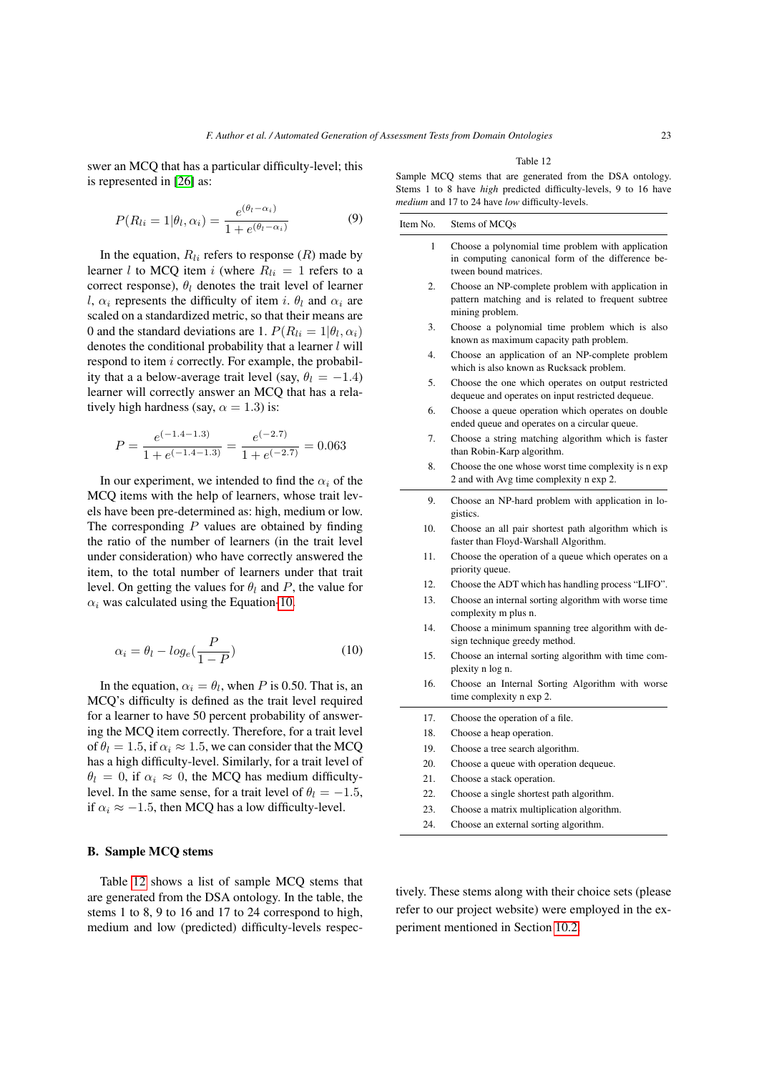swer an MCQ that has a particular difficulty-level; this is represented in [\[26\]](#page-21-23) as:

$$
P(R_{li} = 1 | \theta_l, \alpha_i) = \frac{e^{(\theta_l - \alpha_i)}}{1 + e^{(\theta_l - \alpha_i)}}
$$
(9)

In the equation,  $R_{li}$  refers to response  $(R)$  made by learner l to MCQ item i (where  $R_{li} = 1$  refers to a correct response),  $\theta_l$  denotes the trait level of learner l,  $\alpha_i$  represents the difficulty of item i.  $\theta_l$  and  $\alpha_i$  are scaled on a standardized metric, so that their means are 0 and the standard deviations are 1.  $P(R_{li} = 1 | \theta_l, \alpha_i)$ denotes the conditional probability that a learner  $l$  will respond to item i correctly. For example, the probability that a a below-average trait level (say,  $\theta_l = -1.4$ ) learner will correctly answer an MCQ that has a relatively high hardness (say,  $\alpha = 1.3$ ) is:

<span id="page-22-1"></span>
$$
P = \frac{e^{(-1.4 - 1.3)}}{1 + e^{(-1.4 - 1.3)}} = \frac{e^{(-2.7)}}{1 + e^{(-2.7)}} = 0.063
$$

In our experiment, we intended to find the  $\alpha_i$  of the MCQ items with the help of learners, whose trait levels have been pre-determined as: high, medium or low. The corresponding  $P$  values are obtained by finding the ratio of the number of learners (in the trait level under consideration) who have correctly answered the item, to the total number of learners under that trait level. On getting the values for  $\theta_l$  and P, the value for  $\alpha_i$  was calculated using the Equation[-10.](#page-22-1)

$$
\alpha_i = \theta_l - log_e(\frac{P}{1 - P})
$$
\n(10)

In the equation,  $\alpha_i = \theta_l$ , when P is 0.50. That is, an MCQ's difficulty is defined as the trait level required for a learner to have 50 percent probability of answering the MCQ item correctly. Therefore, for a trait level of  $\theta_l = 1.5$ , if  $\alpha_i \approx 1.5$ , we can consider that the MCQ has a high difficulty-level. Similarly, for a trait level of  $\theta_l = 0$ , if  $\alpha_i \approx 0$ , the MCQ has medium difficultylevel. In the same sense, for a trait level of  $\theta_l = -1.5$ , if  $\alpha_i \approx -1.5$ , then MCQ has a low difficulty-level.

#### <span id="page-22-0"></span>B. Sample MCQ stems

Table [12](#page-22-2) shows a list of sample MCQ stems that are generated from the DSA ontology. In the table, the stems 1 to 8, 9 to 16 and 17 to 24 correspond to high, medium and low (predicted) difficulty-levels respecTable 12

<span id="page-22-2"></span>Sample MCQ stems that are generated from the DSA ontology. Stems 1 to 8 have *high* predicted difficulty-le

| Item No. | Stems of MCQs                                                                                                                   |
|----------|---------------------------------------------------------------------------------------------------------------------------------|
| 1        | Choose a polynomial time problem with application<br>in computing canonical form of the difference be-<br>tween bound matrices. |
| 2.       | Choose an NP-complete problem with application in<br>pattern matching and is related to frequent subtree<br>mining problem.     |
| 3.       | Choose a polynomial time problem which is also<br>known as maximum capacity path problem.                                       |
| 4.       | Choose an application of an NP-complete problem<br>which is also known as Rucksack problem.                                     |
| 5.       | Choose the one which operates on output restricted<br>dequeue and operates on input restricted dequeue.                         |
| 6.       | Choose a queue operation which operates on double<br>ended queue and operates on a circular queue.                              |
| 7.       | Choose a string matching algorithm which is faster<br>than Robin-Karp algorithm.                                                |
| 8.       | Choose the one whose worst time complexity is a exp<br>2 and with Avg time complexity n exp 2.                                  |
| 9.       | Choose an NP-hard problem with application in lo-<br>gistics.                                                                   |
| 10.      | Choose an all pair shortest path algorithm which is<br>faster than Floyd-Warshall Algorithm.                                    |
| 11.      | Choose the operation of a queue which operates on a<br>priority queue.                                                          |
| 12.      | Choose the ADT which has handling process "LIFO".                                                                               |
| 13.      | Choose an internal sorting algorithm with worse time<br>complexity m plus n.                                                    |
| 14.      | Choose a minimum spanning tree algorithm with de-<br>sign technique greedy method.                                              |
| 15.      | Choose an internal sorting algorithm with time com-<br>plexity n log n.                                                         |
| 16.      | Choose an Internal Sorting Algorithm with worse<br>time complexity n exp 2.                                                     |
| 17.      | Choose the operation of a file.                                                                                                 |
| 18.      | Choose a heap operation.                                                                                                        |
| 19.      | Choose a tree search algorithm.                                                                                                 |
| 20.      | Choose a queue with operation dequeue.                                                                                          |
| 21.      | Choose a stack operation.                                                                                                       |
| 22.      | Choose a single shortest path algorithm.                                                                                        |
| 23.      | Choose a matrix multiplication algorithm.                                                                                       |
| 24.      | Choose an external sorting algorithm.                                                                                           |

tively. These stems along with their choice sets (please refer to our project website) were employed in the experiment mentioned in Section [10.2.](#page-16-0)